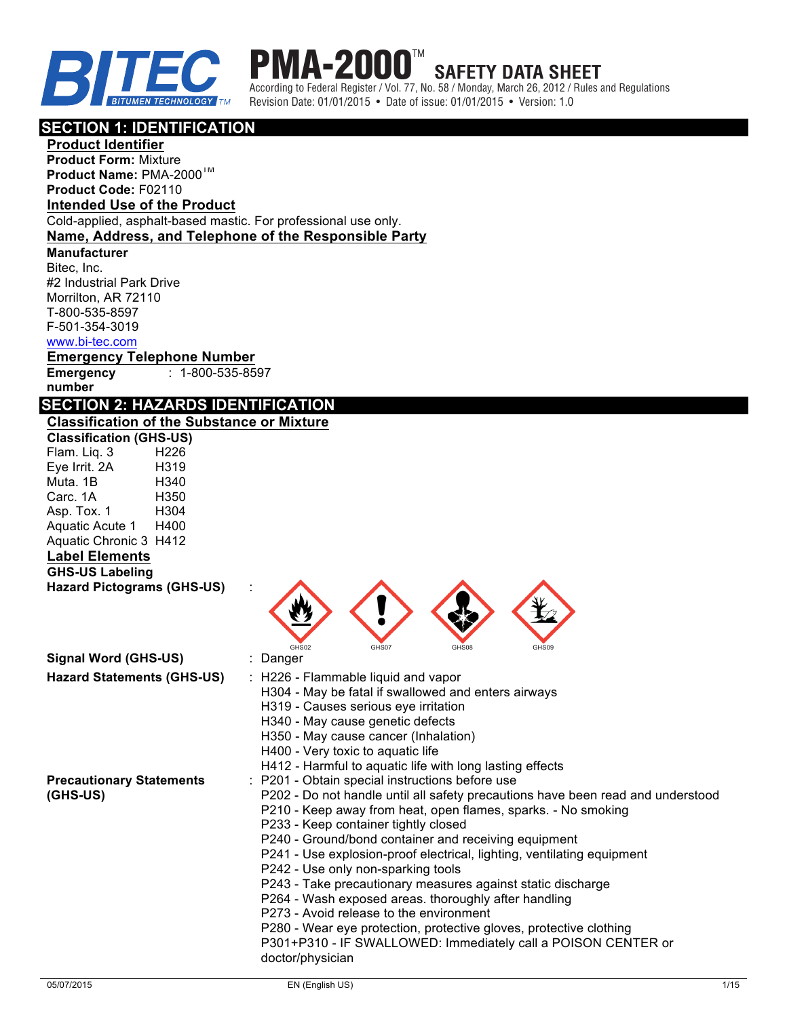

#### **PMA-200 SAFETY DATA SHEET**

According to Federal Register / Vol. 77, No. 58 / Monday, March 26, 2012 / Rules and Regulations Revision Date: 01/01/2015 • Date of issue: 01/01/2015 • Version: 1.0

### **SECTION 1: IDENTIFICATION**

**Product Identifier**

**Product Form:** Mixture **Product Name:** PMA-2000TM **Product Code:** F02110

### **Intended Use of the Product**

Cold-applied, asphalt-based mastic. For professional use only.

## **Name, Address, and Telephone of the Responsible Party**

**Manufacturer**  Bitec, Inc. #2 Industrial Park Drive

Morrilton, AR 72110 T-800-535-8597 F-501-354-3019

#### www.bi-tec.com

**Emergency Telephone Number Emergency number** : 1-800-535-8597

## **SECTION 2: HAZARDS IDENTIFICATION**

#### **Classification of the Substance or Mixture**

| <b>Classification (GHS-US)</b> |      |
|--------------------------------|------|
| Flam. Liq. 3                   | H226 |
| Eye Irrit. 2A                  | H319 |
| Muta. 1B                       | H340 |
| Carc. 1A                       | H350 |
| Asp. Tox. 1                    | H304 |
| Aquatic Acute 1                | H400 |
| Aquatic Chronic 3              | H412 |
| مثعمومورا المطما               |      |

## **Label Elements**

**GHS-US Labeling Hazard Pictograms (GHS-US)** :

| GHS02 | GHS07 | GHS08 | GHS09 |
|-------|-------|-------|-------|

| Signal Word (GHS-US)                        | : Danger                                                                                                                                                                                                                                                                                                                                                                                                                                                                                                                                                                                                                                                                                                                                         |
|---------------------------------------------|--------------------------------------------------------------------------------------------------------------------------------------------------------------------------------------------------------------------------------------------------------------------------------------------------------------------------------------------------------------------------------------------------------------------------------------------------------------------------------------------------------------------------------------------------------------------------------------------------------------------------------------------------------------------------------------------------------------------------------------------------|
| <b>Hazard Statements (GHS-US)</b>           | $\therefore$ H226 - Flammable liquid and vapor<br>H304 - May be fatal if swallowed and enters airways<br>H319 - Causes serious eye irritation<br>H340 - May cause genetic defects<br>H350 - May cause cancer (Inhalation)<br>H400 - Very toxic to aquatic life<br>H412 - Harmful to aquatic life with long lasting effects                                                                                                                                                                                                                                                                                                                                                                                                                       |
| <b>Precautionary Statements</b><br>(GHS-US) | : P201 - Obtain special instructions before use<br>P202 - Do not handle until all safety precautions have been read and understood<br>P210 - Keep away from heat, open flames, sparks. - No smoking<br>P233 - Keep container tightly closed<br>P240 - Ground/bond container and receiving equipment<br>P241 - Use explosion-proof electrical, lighting, ventilating equipment<br>P242 - Use only non-sparking tools<br>P243 - Take precautionary measures against static discharge<br>P264 - Wash exposed areas. thoroughly after handling<br>P273 - Avoid release to the environment<br>P280 - Wear eye protection, protective gloves, protective clothing<br>P301+P310 - IF SWALLOWED: Immediately call a POISON CENTER or<br>doctor/physician |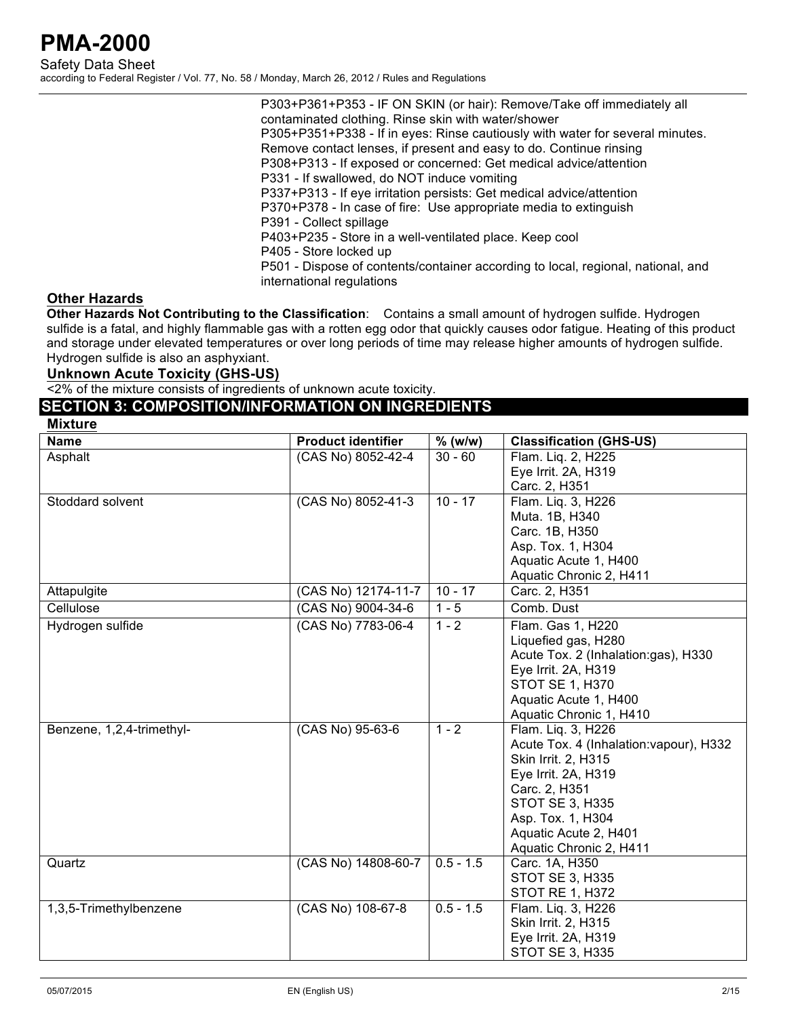P303+P361+P353 - IF ON SKIN (or hair): Remove/Take off immediately all contaminated clothing. Rinse skin with water/shower P305+P351+P338 - If in eyes: Rinse cautiously with water for several minutes. Remove contact lenses, if present and easy to do. Continue rinsing P308+P313 - If exposed or concerned: Get medical advice/attention P331 - If swallowed, do NOT induce vomiting P337+P313 - If eye irritation persists: Get medical advice/attention P370+P378 - In case of fire: Use appropriate media to extinguish P391 - Collect spillage P403+P235 - Store in a well-ventilated place. Keep cool P405 - Store locked up P501 - Dispose of contents/container according to local, regional, national, and international regulations

### **Other Hazards**

**Other Hazards Not Contributing to the Classification**: Contains a small amount of hydrogen sulfide. Hydrogen sulfide is a fatal, and highly flammable gas with a rotten egg odor that quickly causes odor fatigue. Heating of this product and storage under elevated temperatures or over long periods of time may release higher amounts of hydrogen sulfide. Hydrogen sulfide is also an asphyxiant.

#### **Unknown Acute Toxicity (GHS-US)**

<2% of the mixture consists of ingredients of unknown acute toxicity.

### **SECTION 3: COMPOSITION/INFORMATION ON INGREDIENTS**

|  | Mixture |  |
|--|---------|--|
|--|---------|--|

| <b>INIVERS</b>            |                           |             |                                         |
|---------------------------|---------------------------|-------------|-----------------------------------------|
| <b>Name</b>               | <b>Product identifier</b> | $%$ (w/w)   | <b>Classification (GHS-US)</b>          |
| Asphalt                   | (CAS No) 8052-42-4        | $30 - 60$   | Flam. Lig. 2, H225                      |
|                           |                           |             | Eye Irrit. 2A, H319                     |
|                           |                           |             | Carc. 2, H351                           |
| Stoddard solvent          | (CAS No) 8052-41-3        | $10 - 17$   | Flam. Lig. 3, H226                      |
|                           |                           |             | Muta. 1B, H340                          |
|                           |                           |             | Carc. 1B, H350                          |
|                           |                           |             | Asp. Tox. 1, H304                       |
|                           |                           |             | Aquatic Acute 1, H400                   |
|                           |                           |             | Aquatic Chronic 2, H411                 |
| Attapulgite               | (CAS No) 12174-11-7       | $10 - 17$   | Carc. 2, H351                           |
| Cellulose                 | (CAS No) 9004-34-6        | $1 - 5$     | Comb. Dust                              |
| Hydrogen sulfide          | (CAS No) 7783-06-4        | $1 - 2$     | Flam. Gas 1, H220                       |
|                           |                           |             | Liquefied gas, H280                     |
|                           |                           |             | Acute Tox. 2 (Inhalation:gas), H330     |
|                           |                           |             | Eye Irrit. 2A, H319                     |
|                           |                           |             | <b>STOT SE 1, H370</b>                  |
|                           |                           |             | Aquatic Acute 1, H400                   |
|                           |                           |             | Aquatic Chronic 1, H410                 |
| Benzene, 1,2,4-trimethyl- | (CAS No) 95-63-6          | $1 - 2$     | Flam. Lig. 3, H226                      |
|                           |                           |             | Acute Tox. 4 (Inhalation: vapour), H332 |
|                           |                           |             | Skin Irrit. 2, H315                     |
|                           |                           |             | Eye Irrit. 2A, H319                     |
|                           |                           |             | Carc. 2, H351                           |
|                           |                           |             | <b>STOT SE 3, H335</b>                  |
|                           |                           |             | Asp. Tox. 1, H304                       |
|                           |                           |             | Aquatic Acute 2, H401                   |
|                           |                           |             | Aquatic Chronic 2, H411                 |
| Quartz                    | (CAS No) 14808-60-7       | $0.5 - 1.5$ | Carc. 1A, H350                          |
|                           |                           |             | <b>STOT SE 3, H335</b>                  |
|                           |                           |             | STOT RE 1, H372                         |
| 1,3,5-Trimethylbenzene    | (CAS No) 108-67-8         | $0.5 - 1.5$ | Flam. Liq. 3, H226                      |
|                           |                           |             | Skin Irrit. 2, H315                     |
|                           |                           |             | Eye Irrit. 2A, H319                     |
|                           |                           |             | <b>STOT SE 3, H335</b>                  |
|                           |                           |             |                                         |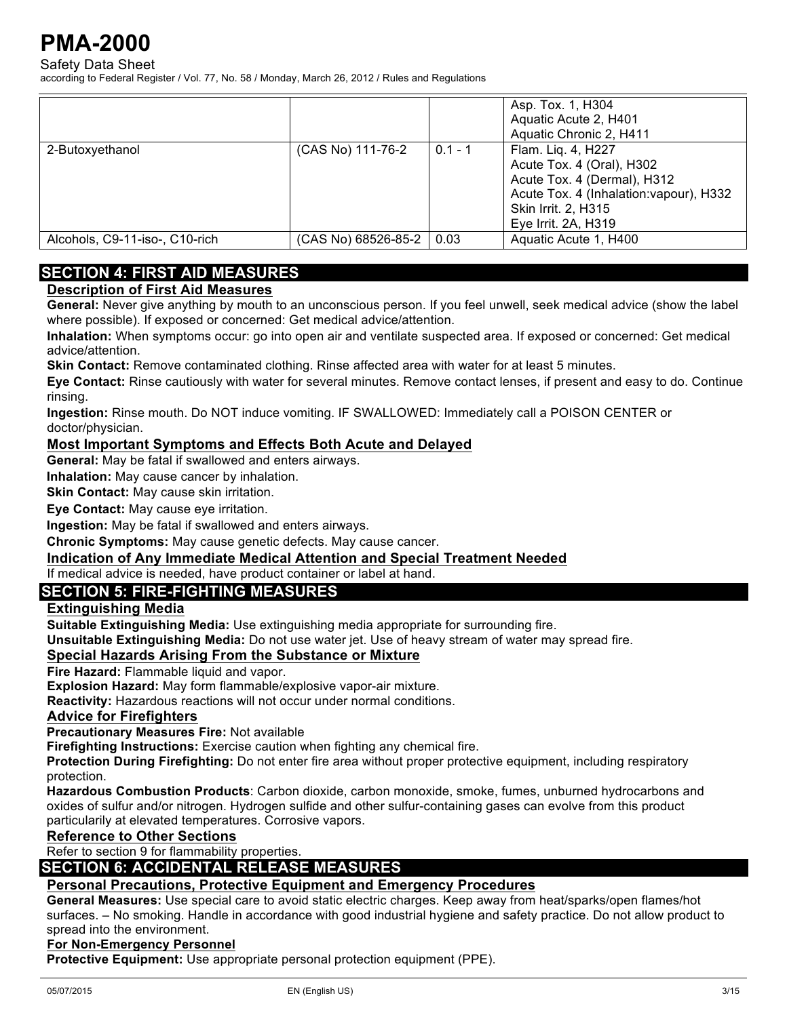Safety Data Sheet

according to Federal Register / Vol. 77, No. 58 / Monday, March 26, 2012 / Rules and Regulations

|                                |                     |           | Asp. Tox. 1, H304<br>Aquatic Acute 2, H401<br>Aquatic Chronic 2, H411                                                                                                   |
|--------------------------------|---------------------|-----------|-------------------------------------------------------------------------------------------------------------------------------------------------------------------------|
| 2-Butoxyethanol                | (CAS No) 111-76-2   | $0.1 - 1$ | Flam. Liq. 4, H227<br>Acute Tox. 4 (Oral), H302<br>Acute Tox. 4 (Dermal), H312<br>Acute Tox. 4 (Inhalation: vapour), H332<br>Skin Irrit. 2, H315<br>Eye Irrit. 2A, H319 |
| Alcohols, C9-11-iso-, C10-rich | (CAS No) 68526-85-2 | 0.03      | Aquatic Acute 1, H400                                                                                                                                                   |

## **SECTION 4: FIRST AID MEASURES**

### **Description of First Aid Measures**

**General:** Never give anything by mouth to an unconscious person. If you feel unwell, seek medical advice (show the label where possible). If exposed or concerned: Get medical advice/attention.

**Inhalation:** When symptoms occur: go into open air and ventilate suspected area. If exposed or concerned: Get medical advice/attention.

**Skin Contact:** Remove contaminated clothing. Rinse affected area with water for at least 5 minutes.

**Eye Contact:** Rinse cautiously with water for several minutes. Remove contact lenses, if present and easy to do. Continue rinsing.

**Ingestion:** Rinse mouth. Do NOT induce vomiting. IF SWALLOWED: Immediately call a POISON CENTER or doctor/physician.

#### **Most Important Symptoms and Effects Both Acute and Delayed**

**General:** May be fatal if swallowed and enters airways.

**Inhalation:** May cause cancer by inhalation.

**Skin Contact:** May cause skin irritation.

**Eye Contact:** May cause eye irritation.

**Ingestion:** May be fatal if swallowed and enters airways.

**Chronic Symptoms:** May cause genetic defects. May cause cancer.

#### **Indication of Any Immediate Medical Attention and Special Treatment Needed**

If medical advice is needed, have product container or label at hand.

### **SECTION 5: FIRE-FIGHTING MEASURES**

#### **Extinguishing Media**

**Suitable Extinguishing Media:** Use extinguishing media appropriate for surrounding fire.

**Unsuitable Extinguishing Media:** Do not use water jet. Use of heavy stream of water may spread fire.

#### **Special Hazards Arising From the Substance or Mixture**

**Fire Hazard:** Flammable liquid and vapor.

**Explosion Hazard:** May form flammable/explosive vapor-air mixture.

**Reactivity:** Hazardous reactions will not occur under normal conditions.

#### **Advice for Firefighters**

**Precautionary Measures Fire:** Not available

**Firefighting Instructions:** Exercise caution when fighting any chemical fire.

**Protection During Firefighting:** Do not enter fire area without proper protective equipment, including respiratory protection.

**Hazardous Combustion Products**: Carbon dioxide, carbon monoxide, smoke, fumes, unburned hydrocarbons and oxides of sulfur and/or nitrogen. Hydrogen sulfide and other sulfur-containing gases can evolve from this product particularily at elevated temperatures. Corrosive vapors.

#### **Reference to Other Sections**

Refer to section 9 for flammability properties.

#### **SECTION 6: ACCIDENTAL RELEASE MEASURES**

#### **Personal Precautions, Protective Equipment and Emergency Procedures**

**General Measures:** Use special care to avoid static electric charges. Keep away from heat/sparks/open flames/hot surfaces. – No smoking. Handle in accordance with good industrial hygiene and safety practice. Do not allow product to spread into the environment.

#### **For Non-Emergency Personnel**

**Protective Equipment:** Use appropriate personal protection equipment (PPE).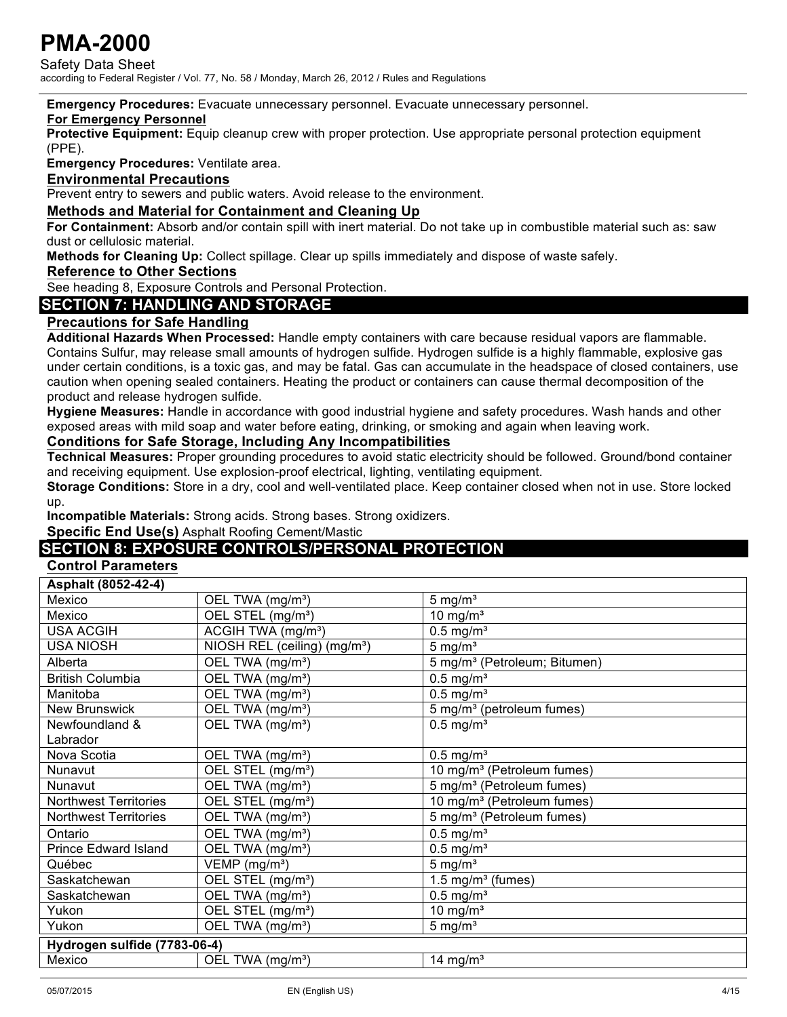Safety Data Sheet according to Federal Register / Vol. 77, No. 58 / Monday, March 26, 2012 / Rules and Regulations

**Emergency Procedures:** Evacuate unnecessary personnel. Evacuate unnecessary personnel.

#### **For Emergency Personnel**

**Protective Equipment:** Equip cleanup crew with proper protection. Use appropriate personal protection equipment (PPE).

**Emergency Procedures:** Ventilate area.

#### **Environmental Precautions**

Prevent entry to sewers and public waters. Avoid release to the environment.

#### **Methods and Material for Containment and Cleaning Up**

**For Containment:** Absorb and/or contain spill with inert material. Do not take up in combustible material such as: saw dust or cellulosic material.

**Methods for Cleaning Up:** Collect spillage. Clear up spills immediately and dispose of waste safely.

#### **Reference to Other Sections**

See heading 8, Exposure Controls and Personal Protection.

### **SECTION 7: HANDLING AND STORAGE**

#### **Precautions for Safe Handling**

**Additional Hazards When Processed:** Handle empty containers with care because residual vapors are flammable. Contains Sulfur, may release small amounts of hydrogen sulfide. Hydrogen sulfide is a highly flammable, explosive gas under certain conditions, is a toxic gas, and may be fatal. Gas can accumulate in the headspace of closed containers, use caution when opening sealed containers. Heating the product or containers can cause thermal decomposition of the product and release hydrogen sulfide.

**Hygiene Measures:** Handle in accordance with good industrial hygiene and safety procedures. Wash hands and other exposed areas with mild soap and water before eating, drinking, or smoking and again when leaving work.

#### **Conditions for Safe Storage, Including Any Incompatibilities**

**Technical Measures:** Proper grounding procedures to avoid static electricity should be followed. Ground/bond container and receiving equipment. Use explosion-proof electrical, lighting, ventilating equipment.

**Storage Conditions:** Store in a dry, cool and well-ventilated place. Keep container closed when not in use. Store locked up.

**Incompatible Materials:** Strong acids. Strong bases. Strong oxidizers.

#### **Specific End Use(s)** Asphalt Roofing Cement/Mastic

### **SECTION 8: EXPOSURE CONTROLS/PERSONAL PROTECTION**

#### **Control Parameters**

| Asphalt (8052-42-4)          |                                          |                                          |
|------------------------------|------------------------------------------|------------------------------------------|
| Mexico                       | OEL TWA (mg/m <sup>3</sup> )             | $5 \text{ mg/m}^3$                       |
| Mexico                       | OEL STEL (mg/m <sup>3</sup> )            | 10 mg/ $m3$                              |
| <b>USA ACGIH</b>             | ACGIH TWA (mg/m <sup>3</sup> )           | $0.5$ mg/m <sup>3</sup>                  |
| <b>USA NIOSH</b>             | NIOSH REL (ceiling) (mg/m <sup>3</sup> ) | $5 \text{ mg/m}^3$                       |
| Alberta                      | OEL TWA (mg/m <sup>3</sup> )             | 5 mg/m <sup>3</sup> (Petroleum; Bitumen) |
| <b>British Columbia</b>      | OEL TWA (mg/m <sup>3</sup> )             | $0.5$ mg/m <sup>3</sup>                  |
| Manitoba                     | OEL TWA (mg/m <sup>3</sup> )             | $0.5$ mg/m <sup>3</sup>                  |
| <b>New Brunswick</b>         | OEL TWA (mg/m <sup>3</sup> )             | 5 mg/m <sup>3</sup> (petroleum fumes)    |
| Newfoundland &               | OEL TWA (mg/m <sup>3</sup> )             | $0.5$ mg/m <sup>3</sup>                  |
| Labrador                     |                                          |                                          |
| Nova Scotia                  | OEL TWA (mg/m <sup>3</sup> )             | $0.5$ mg/m <sup>3</sup>                  |
| Nunavut                      | OEL STEL (mg/m <sup>3</sup> )            | 10 mg/m <sup>3</sup> (Petroleum fumes)   |
| Nunavut                      | OEL TWA (mg/m <sup>3</sup> )             | 5 mg/m <sup>3</sup> (Petroleum fumes)    |
| <b>Northwest Territories</b> | OEL STEL (mg/m <sup>3</sup> )            | 10 mg/m <sup>3</sup> (Petroleum fumes)   |
| <b>Northwest Territories</b> | OEL TWA (mg/m <sup>3</sup> )             | 5 mg/m <sup>3</sup> (Petroleum fumes)    |
| Ontario                      | OEL TWA (mg/m <sup>3</sup> )             | $0.5$ mg/m <sup>3</sup>                  |
| <b>Prince Edward Island</b>  | OEL TWA (mg/m <sup>3</sup> )             | $0.5$ mg/m <sup>3</sup>                  |
| Québec                       | VEMP (mg/m <sup>3</sup> )                | $5 \text{ mg/m}^3$                       |
| Saskatchewan                 | OEL STEL (mg/m <sup>3</sup> )            | 1.5 mg/ $m3$ (fumes)                     |
| Saskatchewan                 | OEL TWA (mg/m <sup>3</sup> )             | $0.5$ mg/m <sup>3</sup>                  |
| Yukon                        | OEL STEL (mg/m <sup>3</sup> )            | 10 mg/ $m3$                              |
| Yukon                        | OEL TWA (mg/m <sup>3</sup> )             | $5 \text{ mg/m}^3$                       |
| Hydrogen sulfide (7783-06-4) |                                          |                                          |
| Mexico                       | OEL TWA (mg/m <sup>3</sup> )             | 14 mg/m <sup>3</sup>                     |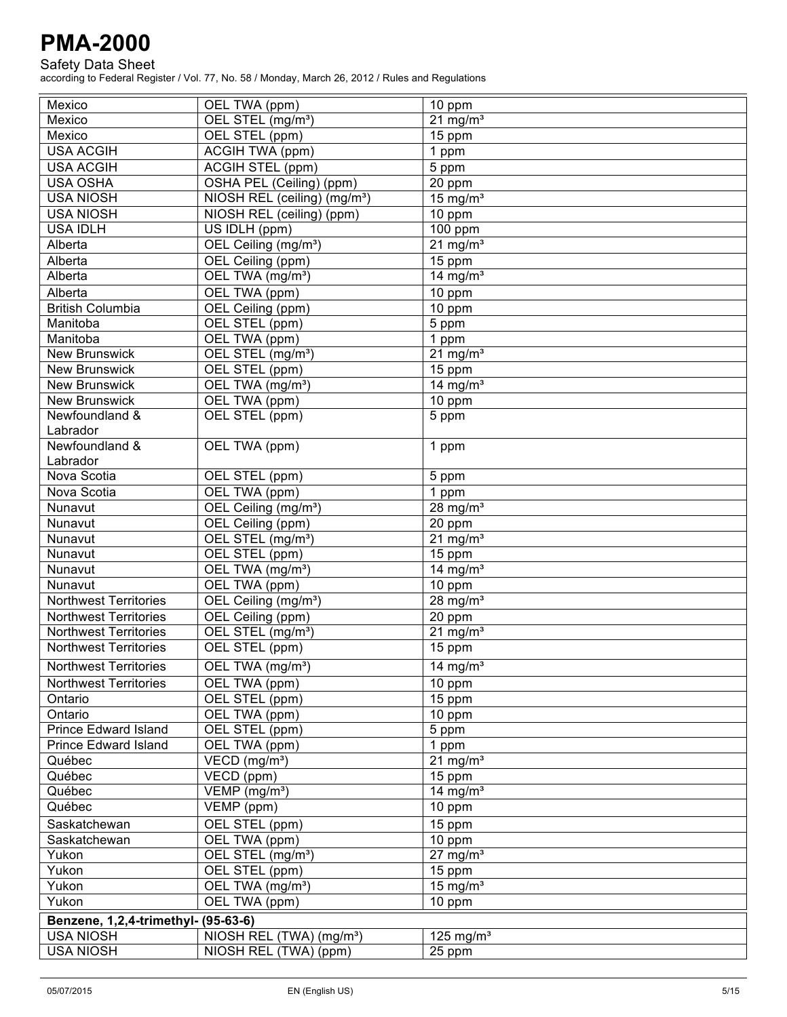Safety Data Sheet

| Mexico                                 | OEL TWA (ppm)                            | 10 ppm                          |  |
|----------------------------------------|------------------------------------------|---------------------------------|--|
| Mexico                                 | OEL STEL (mg/m <sup>3</sup> )            | $21$ mg/m <sup>3</sup>          |  |
| Mexico                                 | OEL STEL (ppm)                           | 15 ppm                          |  |
| <b>USA ACGIH</b>                       | <b>ACGIH TWA (ppm)</b>                   | 1 ppm                           |  |
| <b>USA ACGIH</b>                       | <b>ACGIH STEL (ppm)</b>                  | 5 ppm                           |  |
| <b>USA OSHA</b>                        | OSHA PEL (Ceiling) (ppm)                 | 20 ppm                          |  |
| <b>USA NIOSH</b>                       | NIOSH REL (ceiling) (mg/m <sup>3</sup> ) | 15 mg/ $m3$                     |  |
| <b>USA NIOSH</b>                       | NIOSH REL (ceiling) (ppm)                | 10 ppm                          |  |
| <b>USA IDLH</b>                        | US IDLH (ppm)                            | 100 ppm                         |  |
| Alberta                                | OEL Ceiling (mg/m <sup>3</sup> )         | $21$ mg/m <sup>3</sup>          |  |
| Alberta                                | OEL Ceiling (ppm)                        | $\overline{15}$ ppm             |  |
| Alberta                                | OEL TWA (mg/m <sup>3</sup> )             | 14 mg/ $m3$                     |  |
| Alberta                                | OEL TWA (ppm)                            | 10 ppm                          |  |
| <b>British Columbia</b>                | OEL Ceiling (ppm)                        | 10 ppm                          |  |
| Manitoba                               | OEL STEL (ppm)                           | 5 ppm                           |  |
| Manitoba                               | OEL TWA (ppm)                            | 1 ppm                           |  |
| <b>New Brunswick</b>                   | OEL STEL (mg/m <sup>3</sup> )            | $21$ mg/m <sup>3</sup>          |  |
| <b>New Brunswick</b>                   | OEL STEL (ppm)                           | 15 ppm                          |  |
| <b>New Brunswick</b>                   | OEL TWA (mg/m <sup>3</sup> )             | 14 mg/ $m3$                     |  |
| <b>New Brunswick</b>                   | OEL TWA (ppm)                            | 10 ppm                          |  |
| Newfoundland &                         | OEL STEL (ppm)                           | 5 ppm                           |  |
| Labrador                               |                                          |                                 |  |
| Newfoundland &                         | OEL TWA (ppm)                            | 1 ppm                           |  |
| Labrador                               |                                          |                                 |  |
| Nova Scotia                            | OEL STEL (ppm)                           | 5 ppm                           |  |
| Nova Scotia                            | OEL TWA (ppm)                            | 1 ppm                           |  |
| Nunavut                                | OEL Ceiling (mg/m <sup>3</sup> )         | 28 mg/ $m3$                     |  |
| Nunavut                                | OEL Ceiling (ppm)                        | 20 ppm                          |  |
| Nunavut                                | OEL STEL (mg/m <sup>3</sup> )            | $21$ mg/m <sup>3</sup>          |  |
| Nunavut                                | OEL STEL (ppm)                           | 15 ppm                          |  |
| Nunavut                                | OEL TWA (mg/m <sup>3</sup> )             | 14 mg/ $m3$                     |  |
| Nunavut                                | OEL TWA (ppm)                            | 10 ppm                          |  |
| <b>Northwest Territories</b>           | OEL Ceiling (mg/m <sup>3</sup> )         | 28 mg/ $m3$                     |  |
| <b>Northwest Territories</b>           | OEL Ceiling (ppm)                        | 20 ppm                          |  |
| <b>Northwest Territories</b>           | OEL STEL (mg/m <sup>3</sup> )            | $21$ mg/m <sup>3</sup>          |  |
| <b>Northwest Territories</b>           | OEL STEL (ppm)                           | 15 ppm                          |  |
| <b>Northwest Territories</b>           | OEL TWA (mg/m <sup>3</sup> )             | 14 mg/ $m3$                     |  |
| <b>Northwest Territories</b>           |                                          |                                 |  |
| Ontario                                | OEL TWA (ppm)                            | 10 ppm                          |  |
|                                        | OEL STEL (ppm)                           | 15 ppm                          |  |
| Ontario<br><b>Prince Edward Island</b> | OEL TWA (ppm)                            | 10 ppm                          |  |
| <b>Prince Edward Island</b>            | OEL STEL (ppm)                           | 5 ppm                           |  |
| Québec                                 | OEL TWA (ppm)                            | 1 ppm<br>$21$ mg/m <sup>3</sup> |  |
|                                        | VECD (mg/m <sup>3</sup> )                |                                 |  |
| Québec                                 | VECD (ppm)                               | 15 ppm                          |  |
| Québec                                 | VEMP (mg/m <sup>3</sup> )                | 14 mg/ $m3$                     |  |
| Québec                                 | $VEMP$ (ppm)                             | 10 ppm                          |  |
| Saskatchewan                           | OEL STEL (ppm)                           | 15 ppm                          |  |
| Saskatchewan                           | OEL TWA (ppm)                            | 10 ppm                          |  |
| Yukon                                  | OEL STEL (mg/m <sup>3</sup> )            | $27 \text{ mg/m}^3$             |  |
| Yukon                                  | OEL STEL (ppm)                           | 15 ppm                          |  |
| Yukon                                  | OEL TWA (mg/m <sup>3</sup> )             | 15 mg/ $m3$                     |  |
| Yukon                                  | OEL TWA (ppm)                            | 10 ppm                          |  |
| Benzene, 1,2,4-trimethyl- (95-63-6)    |                                          |                                 |  |
| <b>USA NIOSH</b>                       | NIOSH REL (TWA) (mg/m <sup>3</sup> )     | 125 mg/m <sup>3</sup>           |  |
| <b>USA NIOSH</b>                       | NIOSH REL (TWA) (ppm)                    | 25 ppm                          |  |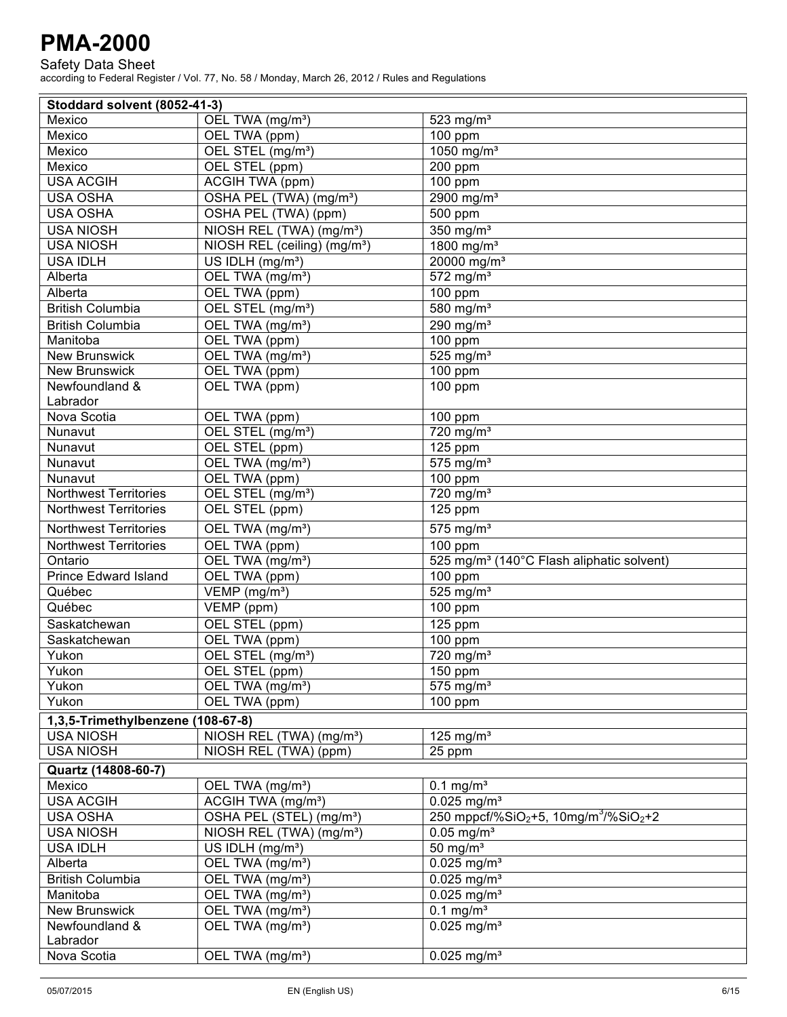Safety Data Sheet

| Stoddard solvent (8052-41-3)      |                                          |                                                                           |
|-----------------------------------|------------------------------------------|---------------------------------------------------------------------------|
| Mexico                            | OEL TWA (mg/m <sup>3</sup> )             | 523 mg/m <sup>3</sup>                                                     |
| Mexico                            | OEL TWA (ppm)                            | $\overline{100}$ ppm                                                      |
| Mexico                            | OEL STEL (mg/m <sup>3</sup> )            | 1050 mg/m <sup>3</sup>                                                    |
| Mexico                            | OEL STEL (ppm)                           | 200 ppm                                                                   |
| <b>USA ACGIH</b>                  | <b>ACGIH TWA (ppm)</b>                   | 100 ppm                                                                   |
| <b>USA OSHA</b>                   | OSHA PEL (TWA) (mg/m <sup>3</sup> )      | 2900 mg/m <sup>3</sup>                                                    |
| <b>USA OSHA</b>                   | OSHA PEL (TWA) (ppm)                     | 500 ppm                                                                   |
| <b>USA NIOSH</b>                  | NIOSH REL (TWA) (mg/m <sup>3</sup> )     | 350 mg/m <sup>3</sup>                                                     |
| <b>USA NIOSH</b>                  | NIOSH REL (ceiling) (mg/m <sup>3</sup> ) | 1800 mg/m <sup>3</sup>                                                    |
| <b>USA IDLH</b>                   | US IDLH (mg/m <sup>3</sup> )             | 20000 mg/m <sup>3</sup>                                                   |
| Alberta                           | OEL TWA (mg/m <sup>3</sup> )             | $572$ mg/m <sup>3</sup>                                                   |
| Alberta                           | OEL TWA (ppm)                            | 100 ppm                                                                   |
| British Columbia                  | OEL STEL (mg/m <sup>3</sup> )            | 580 mg/m <sup>3</sup>                                                     |
| <b>British Columbia</b>           | OEL TWA (mg/m <sup>3</sup> )             | $290$ mg/m <sup>3</sup>                                                   |
| Manitoba                          | OEL TWA (ppm)                            | 100 ppm                                                                   |
| <b>New Brunswick</b>              | OEL TWA (mg/m <sup>3</sup> )             | $525$ mg/m <sup>3</sup>                                                   |
| <b>New Brunswick</b>              | OEL TWA (ppm)                            | 100 ppm                                                                   |
| Newfoundland &                    | OEL TWA (ppm)                            | 100 ppm                                                                   |
| Labrador                          |                                          |                                                                           |
| Nova Scotia                       | OEL TWA (ppm)                            | 100 ppm                                                                   |
| Nunavut                           | OEL STEL (mg/m <sup>3</sup> )            | $\overline{720}$ mg/m <sup>3</sup>                                        |
| Nunavut                           | OEL STEL (ppm)                           | $\overline{125}$ ppm                                                      |
| Nunavut                           | OEL TWA (mg/m <sup>3</sup> )             | $\overline{575}$ mg/m <sup>3</sup>                                        |
| Nunavut                           | OEL TWA (ppm)                            | 100 ppm                                                                   |
| <b>Northwest Territories</b>      | OEL STEL (mg/m <sup>3</sup> )            | $720$ mg/m <sup>3</sup>                                                   |
| <b>Northwest Territories</b>      | OEL STEL (ppm)                           | 125 ppm                                                                   |
| Northwest Territories             | OEL TWA (mg/m <sup>3</sup> )             | $575$ mg/m <sup>3</sup>                                                   |
| <b>Northwest Territories</b>      | OEL TWA (ppm)                            | 100 ppm                                                                   |
| Ontario                           | OEL TWA (mg/m <sup>3</sup> )             | 525 mg/m <sup>3</sup> (140°C Flash aliphatic solvent)                     |
| <b>Prince Edward Island</b>       | OEL TWA (ppm)                            | 100 ppm                                                                   |
| Québec                            | VEMP (mg/m <sup>3</sup> )                | 525 mg/ $m3$                                                              |
| Québec                            | $\overline{\mathsf{VEMP}}$ (ppm)         | 100 ppm                                                                   |
| Saskatchewan                      | OEL STEL (ppm)                           | $\overline{125}$ ppm                                                      |
| Saskatchewan                      | OEL TWA (ppm)                            | $100$ ppm                                                                 |
| Yukon                             | OEL STEL (mg/m <sup>3</sup> )            | 720 mg/m <sup>3</sup>                                                     |
| Yukon                             | OEL STEL (ppm)                           | 150 ppm                                                                   |
| Yukon                             | OEL TWA (mg/m <sup>3</sup> )             | $\overline{575}$ mg/m <sup>3</sup>                                        |
| Yukon                             | OEL TWA (ppm)                            | $100$ ppm                                                                 |
| 1,3,5-Trimethylbenzene (108-67-8) |                                          |                                                                           |
| <b>USA NIOSH</b>                  | NIOSH REL (TWA) (mg/m <sup>3</sup> )     | 125 mg/ $m3$                                                              |
| <b>USA NIOSH</b>                  | NIOSH REL (TWA) (ppm)                    | 25 ppm                                                                    |
| Quartz (14808-60-7)               |                                          |                                                                           |
| Mexico                            | OEL TWA (mg/m <sup>3</sup> )             | $0.1$ mg/m <sup>3</sup>                                                   |
| <b>USA ACGIH</b>                  | ACGIH TWA (mg/m <sup>3</sup> )           | $0.025$ mg/m <sup>3</sup>                                                 |
| <b>USA OSHA</b>                   | OSHA PEL (STEL) (mg/m <sup>3</sup> )     | 250 mppcf/%SiO <sub>2</sub> +5, 10mg/m <sup>3</sup> /%SiO <sub>2</sub> +2 |
| <b>USA NIOSH</b>                  | NIOSH REL (TWA) (mg/m <sup>3</sup> )     | $0.05$ mg/m <sup>3</sup>                                                  |
| <b>USA IDLH</b>                   | US IDLH (mg/m <sup>3</sup> )             | $\overline{50}$ mg/m <sup>3</sup>                                         |
| Alberta                           | OEL TWA (mg/m <sup>3</sup> )             | $0.025$ mg/m <sup>3</sup>                                                 |
| <b>British Columbia</b>           | OEL TWA (mg/m <sup>3</sup> )             | $0.025$ mg/m <sup>3</sup>                                                 |
| Manitoba                          | OEL TWA (mg/m <sup>3</sup> )             | $0.025$ mg/m <sup>3</sup>                                                 |
| <b>New Brunswick</b>              | OEL TWA (mg/m <sup>3</sup> )             | $0.1$ mg/m <sup>3</sup>                                                   |
| Newfoundland &                    | OEL TWA (mg/m <sup>3</sup> )             | $\overline{0.025}$ mg/m <sup>3</sup>                                      |
| Labrador                          |                                          |                                                                           |
| Nova Scotia                       | OEL TWA (mg/m <sup>3</sup> )             | $0.025$ mg/m <sup>3</sup>                                                 |
|                                   |                                          |                                                                           |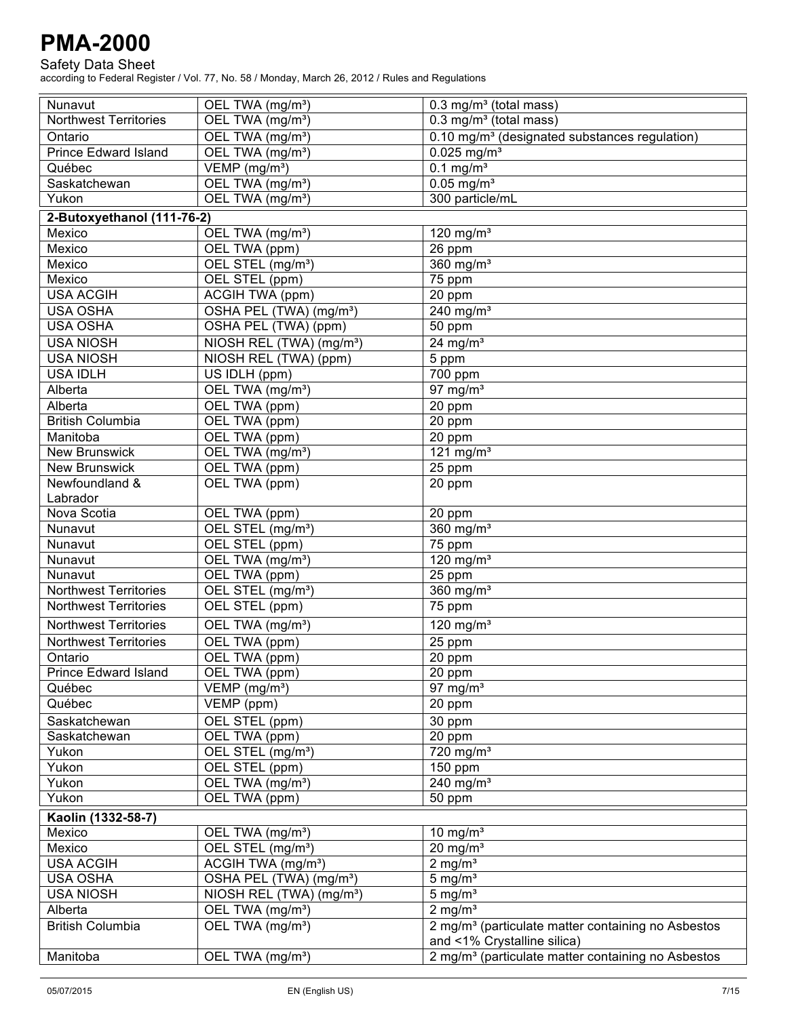#### Safety Data Sheet

| Nunavut                      | OEL TWA (mg/m <sup>3</sup> )         | $0.3$ mg/m <sup>3</sup> (total mass)                           |
|------------------------------|--------------------------------------|----------------------------------------------------------------|
| <b>Northwest Territories</b> | OEL TWA (mg/m <sup>3</sup> )         | 0.3 mg/m <sup>3</sup> (total mass)                             |
| Ontario                      | OEL TWA (mg/m <sup>3</sup> )         | 0.10 mg/m <sup>3</sup> (designated substances regulation)      |
| <b>Prince Edward Island</b>  | OEL TWA (mg/m <sup>3</sup> )         | $0.025$ mg/m <sup>3</sup>                                      |
| Québec                       | VEMP (mg/m <sup>3</sup> )            | $\overline{0.1}$ mg/m <sup>3</sup>                             |
| Saskatchewan                 | OEL TWA (mg/m <sup>3</sup> )         | $0.05$ mg/m <sup>3</sup>                                       |
| Yukon                        | OEL TWA (mg/m <sup>3</sup> )         | 300 particle/mL                                                |
| 2-Butoxyethanol (111-76-2)   |                                      |                                                                |
| Mexico                       | OEL TWA (mg/m <sup>3</sup> )         | 120 mg/ $m3$                                                   |
| Mexico                       | OEL TWA (ppm)                        | 26 ppm                                                         |
| Mexico                       | OEL STEL (mg/m <sup>3</sup> )        | 360 mg/m <sup>3</sup>                                          |
| Mexico                       | OEL STEL (ppm)                       | 75 ppm                                                         |
| <b>USA ACGIH</b>             | <b>ACGIH TWA (ppm)</b>               | 20 ppm                                                         |
| <b>USA OSHA</b>              | OSHA PEL (TWA) (mg/m <sup>3</sup> )  | 240 mg/ $m3$                                                   |
| <b>USA OSHA</b>              | OSHA PEL (TWA) (ppm)                 | 50 ppm                                                         |
| <b>USA NIOSH</b>             | NIOSH REL (TWA) (mg/m <sup>3</sup> ) | 24 mg/ $m3$                                                    |
| <b>USA NIOSH</b>             | NIOSH REL (TWA) (ppm)                | 5 ppm                                                          |
| <b>USA IDLH</b>              | US IDLH (ppm)                        | $\overline{700}$ ppm                                           |
| Alberta                      | OEL TWA (mg/m <sup>3</sup> )         | 97 mg/ $m3$                                                    |
| Alberta                      | OEL TWA (ppm)                        | 20 ppm                                                         |
| <b>British Columbia</b>      | OEL TWA (ppm)                        | 20 ppm                                                         |
| Manitoba                     | OEL TWA (ppm)                        | 20 ppm                                                         |
| <b>New Brunswick</b>         | OEL TWA (mg/m <sup>3</sup> )         | 121 mg/m $3$                                                   |
| <b>New Brunswick</b>         | OEL TWA (ppm)                        | 25 ppm                                                         |
| Newfoundland &               | OEL TWA (ppm)                        | 20 ppm                                                         |
| Labrador                     |                                      |                                                                |
| Nova Scotia                  | OEL TWA (ppm)                        | 20 ppm                                                         |
| Nunavut                      | OEL STEL (mg/m <sup>3</sup> )        | 360 $mg/m3$                                                    |
| Nunavut                      | OEL STEL (ppm)                       | $\overline{7}5$ ppm                                            |
| Nunavut                      | OEL TWA (mg/m <sup>3</sup> )         | $120$ mg/m <sup>3</sup>                                        |
| Nunavut                      | OEL TWA (ppm)                        | $25$ ppm                                                       |
| <b>Northwest Territories</b> | OEL STEL (mg/m <sup>3</sup> )        | 360 $mg/m3$                                                    |
| <b>Northwest Territories</b> | OEL STEL (ppm)                       | $\overline{75}$ ppm                                            |
| <b>Northwest Territories</b> | OEL TWA (mg/m <sup>3</sup> )         | 120 mg/ $m3$                                                   |
| <b>Northwest Territories</b> | OEL TWA (ppm)                        |                                                                |
| Ontario                      | OEL TWA (ppm)                        | 25 ppm                                                         |
| Prince Edward Island         | OEL TWA (ppm)                        | 20 ppm                                                         |
| Québec                       | VEMP (mg/m <sup>3</sup> )            | $20$ ppm<br>97 mg/ $m3$                                        |
| Québec                       | VEMP (ppm)                           | 20 ppm                                                         |
|                              |                                      |                                                                |
| Saskatchewan                 | OEL STEL (ppm)                       | 30 ppm                                                         |
| Saskatchewan                 | OEL TWA (ppm)                        | 20 ppm                                                         |
| Yukon                        | OEL STEL (mg/m <sup>3</sup> )        | $720$ mg/m <sup>3</sup>                                        |
| Yukon                        | OEL STEL (ppm)                       | 150 ppm                                                        |
| Yukon                        | OEL TWA (mg/m <sup>3</sup> )         | 240 mg/ $m3$                                                   |
| Yukon                        | OEL TWA (ppm)                        | 50 ppm                                                         |
| Kaolin (1332-58-7)           |                                      |                                                                |
| Mexico                       | OEL TWA (mg/m <sup>3</sup> )         | 10 mg/ $m3$                                                    |
| Mexico                       | OEL STEL (mg/m <sup>3</sup> )        | $20$ mg/m <sup>3</sup>                                         |
| <b>USA ACGIH</b>             | ACGIH TWA (mg/m <sup>3</sup> )       | 2 mg/m <sup>3</sup>                                            |
| <b>USA OSHA</b>              | OSHA PEL (TWA) (mg/m <sup>3</sup> )  | $5 \text{ mg/m}^3$                                             |
| <b>USA NIOSH</b>             | NIOSH REL (TWA) (mg/m <sup>3</sup> ) | 5 mg/ $m3$                                                     |
| Alberta                      | OEL TWA (mg/m <sup>3</sup> )         | 2 mg/ $m3$                                                     |
| <b>British Columbia</b>      | OEL TWA (mg/m <sup>3</sup> )         | 2 mg/m <sup>3</sup> (particulate matter containing no Asbestos |
|                              |                                      | and <1% Crystalline silica)                                    |
| Manitoba                     | OEL TWA (mg/m <sup>3</sup> )         | 2 mg/m <sup>3</sup> (particulate matter containing no Asbestos |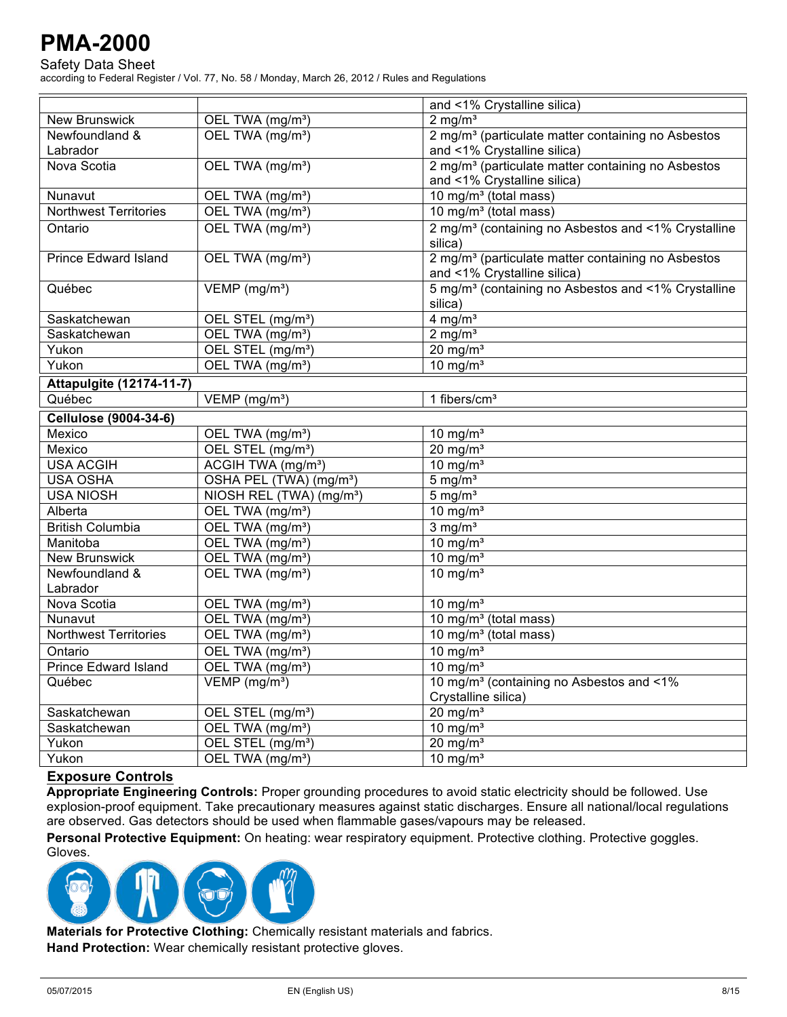Safety Data Sheet

according to Federal Register / Vol. 77, No. 58 / Monday, March 26, 2012 / Rules and Regulations

|                                 |                                      | and <1% Crystalline silica)                                     |
|---------------------------------|--------------------------------------|-----------------------------------------------------------------|
| <b>New Brunswick</b>            | OEL TWA (mg/m <sup>3</sup> )         | $2 \text{ mg/m}^3$                                              |
| Newfoundland &                  | OEL TWA (mg/m <sup>3</sup> )         | 2 mg/m <sup>3</sup> (particulate matter containing no Asbestos  |
| Labrador                        |                                      | and <1% Crystalline silica)                                     |
| Nova Scotia                     | OEL TWA (mg/m <sup>3</sup> )         | 2 mg/m <sup>3</sup> (particulate matter containing no Asbestos  |
|                                 |                                      | and <1% Crystalline silica)                                     |
| Nunavut                         | OEL TWA (mg/m <sup>3</sup> )         | 10 mg/m <sup>3</sup> (total mass)                               |
| <b>Northwest Territories</b>    | OEL TWA (mg/m <sup>3</sup> )         | $\overline{10 \text{ mg/m}^3}$ (total mass)                     |
| Ontario                         | OEL TWA (mg/m <sup>3</sup> )         | 2 mg/m <sup>3</sup> (containing no Asbestos and <1% Crystalline |
|                                 |                                      | silica)                                                         |
| <b>Prince Edward Island</b>     | OEL TWA (mg/m <sup>3</sup> )         | 2 mg/m <sup>3</sup> (particulate matter containing no Asbestos  |
|                                 |                                      | and <1% Crystalline silica)                                     |
| Québec                          | VEMP (mg/m <sup>3</sup> )            | 5 mg/m <sup>3</sup> (containing no Asbestos and <1% Crystalline |
|                                 |                                      | silica)                                                         |
| Saskatchewan                    | OEL STEL (mg/m <sup>3</sup> )        | $4$ mg/m <sup>3</sup>                                           |
| Saskatchewan                    | OEL TWA (mg/m <sup>3</sup> )         | $2$ mg/m <sup>3</sup>                                           |
| Yukon                           | OEL STEL (mg/m <sup>3</sup> )        | $20$ mg/m <sup>3</sup>                                          |
| Yukon                           | OEL TWA (mg/m <sup>3</sup> )         | 10 mg/ $m3$                                                     |
| <b>Attapulgite (12174-11-7)</b> |                                      |                                                                 |
| Québec                          | VEMP (mg/m <sup>3</sup> )            | 1 fibers/ $cm3$                                                 |
| Cellulose (9004-34-6)           |                                      |                                                                 |
| Mexico                          | OEL TWA (mg/m <sup>3</sup> )         | $10$ mg/m <sup>3</sup>                                          |
| Mexico                          | OEL STEL (mg/m <sup>3</sup> )        | $20 \text{ mg/m}^3$                                             |
| <b>USA ACGIH</b>                | ACGIH TWA (mg/m <sup>3</sup> )       | $10 \text{ mg/m}^3$                                             |
| <b>USA OSHA</b>                 | OSHA PEL (TWA) (mg/m <sup>3</sup> )  | $5 \text{ mg/m}^3$                                              |
| <b>USA NIOSH</b>                | NIOSH REL (TWA) (mg/m <sup>3</sup> ) | $5 \text{ mg/m}^3$                                              |
| Alberta                         | OEL TWA (mg/m <sup>3</sup> )         | 10 mg/ $m3$                                                     |
| <b>British Columbia</b>         | OEL TWA (mg/m <sup>3</sup> )         | $3 \overline{\mathrm{mg/m}^3}$                                  |
| Manitoba                        | OEL TWA (mg/m <sup>3</sup> )         | 10 mg/ $m3$                                                     |
| <b>New Brunswick</b>            | OEL TWA (mg/m <sup>3</sup> )         | 10 mg/ $m3$                                                     |
| Newfoundland &                  | OEL TWA (mg/m <sup>3</sup> )         | 10 mg/ $m3$                                                     |
| Labrador                        |                                      |                                                                 |
| Nova Scotia                     | OEL TWA (mg/m <sup>3</sup> )         | $10 \text{ mg/m}^3$                                             |
| Nunavut                         | OEL TWA (mg/m <sup>3</sup> )         | 10 mg/m <sup>3</sup> (total mass)                               |
| <b>Northwest Territories</b>    | OEL TWA (mg/m <sup>3</sup> )         | 10 mg/m <sup>3</sup> (total mass)                               |
| Ontario                         | OEL TWA (mg/m <sup>3</sup> )         | 10 mg/ $m3$                                                     |
| <b>Prince Edward Island</b>     | OEL TWA (mg/m <sup>3</sup> )         | 10 mg/ $m3$                                                     |
| Québec                          | $VEMP$ (mg/m <sup>3</sup> )          | 10 mg/m <sup>3</sup> (containing no Asbestos and <1%            |
|                                 |                                      | Crystalline silica)                                             |
| Saskatchewan                    | OEL STEL (mg/m <sup>3</sup> )        | $20$ mg/m <sup>3</sup>                                          |
| Saskatchewan                    | OEL TWA (mg/m <sup>3</sup> )         | 10 mg/ $m3$                                                     |
| Yukon                           | OEL STEL (mg/m <sup>3</sup> )        | $20$ mg/m <sup>3</sup>                                          |
| Yukon                           | OEL TWA (mg/m <sup>3</sup> )         | 10 mg/ $m3$                                                     |

#### **Exposure Controls**

**Appropriate Engineering Controls:** Proper grounding procedures to avoid static electricity should be followed. Use explosion-proof equipment. Take precautionary measures against static discharges. Ensure all national/local regulations are observed. Gas detectors should be used when flammable gases/vapours may be released.

Personal Protective Equipment: On heating: wear respiratory equipment. Protective clothing. Protective goggles.



**Materials for Protective Clothing:** Chemically resistant materials and fabrics. **Hand Protection:** Wear chemically resistant protective gloves.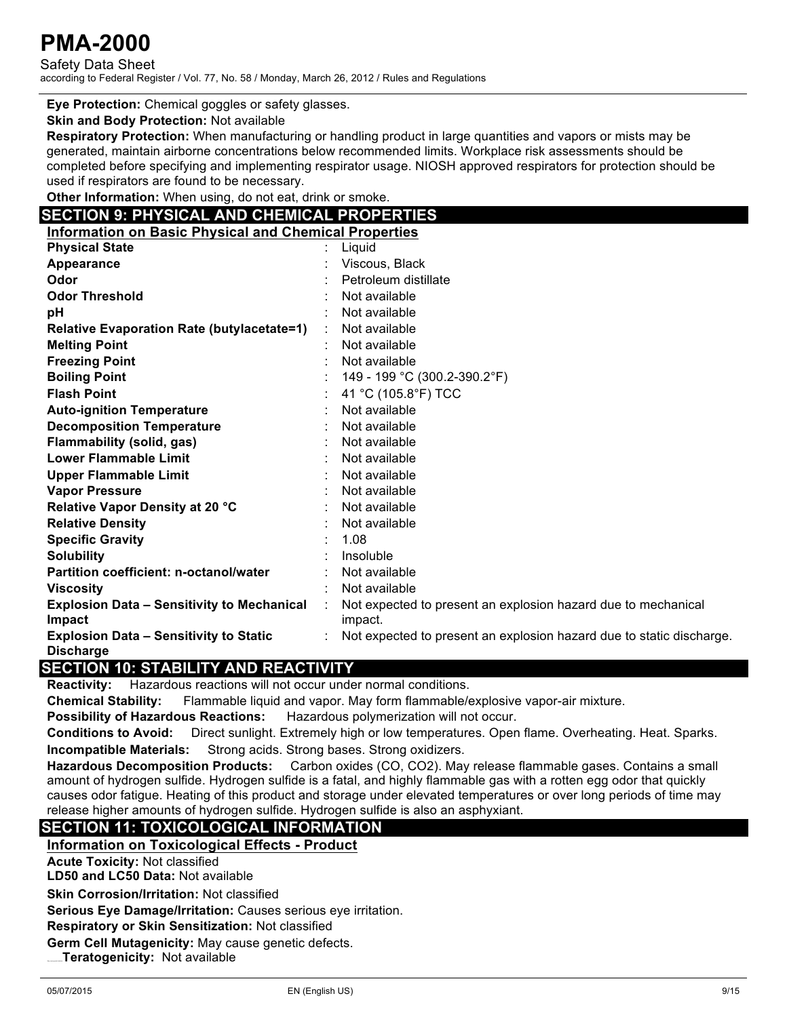Safety Data Sheet according to Federal Register / Vol. 77, No. 58 / Monday, March 26, 2012 / Rules and Regulations

**Eye Protection:** Chemical goggles or safety glasses.

**Skin and Body Protection:** Not available

**Respiratory Protection:** When manufacturing or handling product in large quantities and vapors or mists may be generated, maintain airborne concentrations below recommended limits. Workplace risk assessments should be completed before specifying and implementing respirator usage. NIOSH approved respirators for protection should be used if respirators are found to be necessary.

**Other Information:** When using, do not eat, drink or smoke.

### **SECTION 9: PHYSICAL AND CHEMICAL PROPERTIES**

| <b>Information on Basic Physical and Chemical Properties</b>      |                                                                          |
|-------------------------------------------------------------------|--------------------------------------------------------------------------|
| <b>Physical State</b>                                             | Liquid                                                                   |
| Appearance                                                        | Viscous, Black                                                           |
| Odor                                                              | Petroleum distillate                                                     |
| <b>Odor Threshold</b>                                             | Not available                                                            |
| рH                                                                | Not available                                                            |
| <b>Relative Evaporation Rate (butylacetate=1)</b>                 | Not available                                                            |
| <b>Melting Point</b>                                              | Not available                                                            |
| <b>Freezing Point</b>                                             | Not available                                                            |
| <b>Boiling Point</b>                                              | 149 - 199 °C (300.2-390.2°F)                                             |
| <b>Flash Point</b>                                                | 41 °C (105.8°F) TCC                                                      |
| <b>Auto-ignition Temperature</b>                                  | Not available                                                            |
| <b>Decomposition Temperature</b>                                  | Not available                                                            |
| <b>Flammability (solid, gas)</b>                                  | Not available                                                            |
| <b>Lower Flammable Limit</b>                                      | Not available                                                            |
| <b>Upper Flammable Limit</b>                                      | Not available                                                            |
| <b>Vapor Pressure</b>                                             | Not available                                                            |
| Relative Vapor Density at 20 °C                                   | Not available                                                            |
| <b>Relative Density</b>                                           | Not available                                                            |
| <b>Specific Gravity</b>                                           | 1.08                                                                     |
| <b>Solubility</b>                                                 | Insoluble                                                                |
| Partition coefficient: n-octanol/water                            | Not available                                                            |
| <b>Viscosity</b>                                                  | Not available                                                            |
| <b>Explosion Data - Sensitivity to Mechanical</b><br>Impact       | Not expected to present an explosion hazard due to mechanical<br>impact. |
| <b>Explosion Data - Sensitivity to Static</b><br><b>Discharge</b> | Not expected to present an explosion hazard due to static discharge.     |

### **SECTION 10: STABILITY AND REACTIVITY**

**Reactivity:** Hazardous reactions will not occur under normal conditions.

**Chemical Stability:** Flammable liquid and vapor. May form flammable/explosive vapor-air mixture.

**Possibility of Hazardous Reactions:** Hazardous polymerization will not occur.

**Conditions to Avoid:** Direct sunlight. Extremely high or low temperatures. Open flame. Overheating. Heat. Sparks. **Incompatible Materials:** Strong acids. Strong bases. Strong oxidizers.

**Hazardous Decomposition Products:** Carbon oxides (CO, CO2). May release flammable gases. Contains a small amount of hydrogen sulfide. Hydrogen sulfide is a fatal, and highly flammable gas with a rotten egg odor that quickly causes odor fatigue. Heating of this product and storage under elevated temperatures or over long periods of time may release higher amounts of hydrogen sulfide. Hydrogen sulfide is also an asphyxiant.

## **SECTION 11: TOXICOLOGICAL INFORMATION**

#### **Information on Toxicological Effects - Product**

**Acute Toxicity:** Not classified

**LD50 and LC50 Data:** Not available

**Skin Corrosion/Irritation:** Not classified

**Serious Eye Damage/Irritation:** Causes serious eye irritation.

**Respiratory or Skin Sensitization:** Not classified

**Germ Cell Mutagenicity:** May cause genetic defects.

**Teratogenicity: Not available**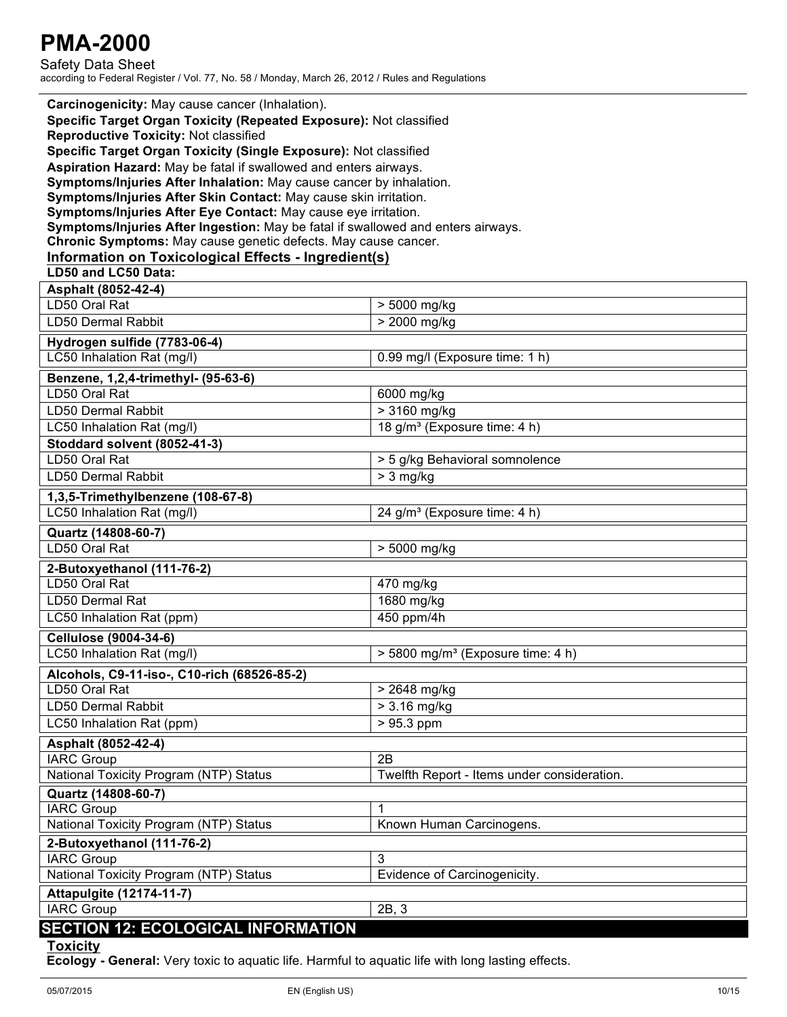Safety Data Sheet according to Federal Register / Vol. 77, No. 58 / Monday, March 26, 2012 / Rules and Regulations

| Carcinogenicity: May cause cancer (Inhalation).<br>Specific Target Organ Toxicity (Repeated Exposure): Not classified<br><b>Reproductive Toxicity: Not classified</b><br>Specific Target Organ Toxicity (Single Exposure): Not classified<br>Aspiration Hazard: May be fatal if swallowed and enters airways.<br>Symptoms/Injuries After Inhalation: May cause cancer by inhalation.<br>Symptoms/Injuries After Skin Contact: May cause skin irritation.<br>Symptoms/Injuries After Eye Contact: May cause eye irritation.<br>Symptoms/Injuries After Ingestion: May be fatal if swallowed and enters airways.<br>Chronic Symptoms: May cause genetic defects. May cause cancer.<br>Information on Toxicological Effects - Ingredient(s)<br>LD50 and LC50 Data: |                                               |  |  |
|-----------------------------------------------------------------------------------------------------------------------------------------------------------------------------------------------------------------------------------------------------------------------------------------------------------------------------------------------------------------------------------------------------------------------------------------------------------------------------------------------------------------------------------------------------------------------------------------------------------------------------------------------------------------------------------------------------------------------------------------------------------------|-----------------------------------------------|--|--|
| Asphalt (8052-42-4)                                                                                                                                                                                                                                                                                                                                                                                                                                                                                                                                                                                                                                                                                                                                             |                                               |  |  |
| LD50 Oral Rat                                                                                                                                                                                                                                                                                                                                                                                                                                                                                                                                                                                                                                                                                                                                                   | > 5000 mg/kg                                  |  |  |
| LD50 Dermal Rabbit                                                                                                                                                                                                                                                                                                                                                                                                                                                                                                                                                                                                                                                                                                                                              | > 2000 mg/kg                                  |  |  |
| Hydrogen sulfide (7783-06-4)                                                                                                                                                                                                                                                                                                                                                                                                                                                                                                                                                                                                                                                                                                                                    |                                               |  |  |
| LC50 Inhalation Rat (mg/l)                                                                                                                                                                                                                                                                                                                                                                                                                                                                                                                                                                                                                                                                                                                                      | 0.99 mg/l (Exposure time: 1 h)                |  |  |
| Benzene, 1,2,4-trimethyl- (95-63-6)                                                                                                                                                                                                                                                                                                                                                                                                                                                                                                                                                                                                                                                                                                                             |                                               |  |  |
| LD50 Oral Rat                                                                                                                                                                                                                                                                                                                                                                                                                                                                                                                                                                                                                                                                                                                                                   | 6000 mg/kg                                    |  |  |
| <b>LD50 Dermal Rabbit</b>                                                                                                                                                                                                                                                                                                                                                                                                                                                                                                                                                                                                                                                                                                                                       | > 3160 mg/kg                                  |  |  |
| LC50 Inhalation Rat (mg/l)                                                                                                                                                                                                                                                                                                                                                                                                                                                                                                                                                                                                                                                                                                                                      | 18 g/m <sup>3</sup> (Exposure time: 4 h)      |  |  |
| Stoddard solvent (8052-41-3)                                                                                                                                                                                                                                                                                                                                                                                                                                                                                                                                                                                                                                                                                                                                    |                                               |  |  |
| LD50 Oral Rat                                                                                                                                                                                                                                                                                                                                                                                                                                                                                                                                                                                                                                                                                                                                                   | > 5 g/kg Behavioral somnolence                |  |  |
| LD50 Dermal Rabbit                                                                                                                                                                                                                                                                                                                                                                                                                                                                                                                                                                                                                                                                                                                                              | $> 3$ mg/kg                                   |  |  |
| 1,3,5-Trimethylbenzene (108-67-8)                                                                                                                                                                                                                                                                                                                                                                                                                                                                                                                                                                                                                                                                                                                               |                                               |  |  |
| LC50 Inhalation Rat (mg/l)                                                                                                                                                                                                                                                                                                                                                                                                                                                                                                                                                                                                                                                                                                                                      | 24 g/m <sup>3</sup> (Exposure time: 4 h)      |  |  |
| Quartz (14808-60-7)                                                                                                                                                                                                                                                                                                                                                                                                                                                                                                                                                                                                                                                                                                                                             |                                               |  |  |
| LD50 Oral Rat                                                                                                                                                                                                                                                                                                                                                                                                                                                                                                                                                                                                                                                                                                                                                   | > 5000 mg/kg                                  |  |  |
| 2-Butoxyethanol (111-76-2)                                                                                                                                                                                                                                                                                                                                                                                                                                                                                                                                                                                                                                                                                                                                      |                                               |  |  |
| LD50 Oral Rat                                                                                                                                                                                                                                                                                                                                                                                                                                                                                                                                                                                                                                                                                                                                                   | 470 mg/kg                                     |  |  |
| LD50 Dermal Rat                                                                                                                                                                                                                                                                                                                                                                                                                                                                                                                                                                                                                                                                                                                                                 | 1680 mg/kg                                    |  |  |
| LC50 Inhalation Rat (ppm)                                                                                                                                                                                                                                                                                                                                                                                                                                                                                                                                                                                                                                                                                                                                       | $450$ ppm/4h                                  |  |  |
| Cellulose (9004-34-6)                                                                                                                                                                                                                                                                                                                                                                                                                                                                                                                                                                                                                                                                                                                                           |                                               |  |  |
| LC50 Inhalation Rat (mg/l)                                                                                                                                                                                                                                                                                                                                                                                                                                                                                                                                                                                                                                                                                                                                      | > 5800 mg/m <sup>3</sup> (Exposure time: 4 h) |  |  |
|                                                                                                                                                                                                                                                                                                                                                                                                                                                                                                                                                                                                                                                                                                                                                                 |                                               |  |  |
| Alcohols, C9-11-iso-, C10-rich (68526-85-2)<br>LD50 Oral Rat                                                                                                                                                                                                                                                                                                                                                                                                                                                                                                                                                                                                                                                                                                    |                                               |  |  |
| LD50 Dermal Rabbit                                                                                                                                                                                                                                                                                                                                                                                                                                                                                                                                                                                                                                                                                                                                              | > 2648 mg/kg                                  |  |  |
| LC50 Inhalation Rat (ppm)                                                                                                                                                                                                                                                                                                                                                                                                                                                                                                                                                                                                                                                                                                                                       | $> 3.16$ mg/kg<br>$> 95.3$ ppm                |  |  |
|                                                                                                                                                                                                                                                                                                                                                                                                                                                                                                                                                                                                                                                                                                                                                                 |                                               |  |  |
| Asphalt (8052-42-4)                                                                                                                                                                                                                                                                                                                                                                                                                                                                                                                                                                                                                                                                                                                                             |                                               |  |  |
| <b>IARC Group</b>                                                                                                                                                                                                                                                                                                                                                                                                                                                                                                                                                                                                                                                                                                                                               | 2B                                            |  |  |
| National Toxicity Program (NTP) Status                                                                                                                                                                                                                                                                                                                                                                                                                                                                                                                                                                                                                                                                                                                          | Twelfth Report - Items under consideration.   |  |  |
| Quartz (14808-60-7)                                                                                                                                                                                                                                                                                                                                                                                                                                                                                                                                                                                                                                                                                                                                             |                                               |  |  |
| <b>IARC Group</b><br>National Toxicity Program (NTP) Status                                                                                                                                                                                                                                                                                                                                                                                                                                                                                                                                                                                                                                                                                                     | Known Human Carcinogens.                      |  |  |
|                                                                                                                                                                                                                                                                                                                                                                                                                                                                                                                                                                                                                                                                                                                                                                 |                                               |  |  |
| 2-Butoxyethanol (111-76-2)                                                                                                                                                                                                                                                                                                                                                                                                                                                                                                                                                                                                                                                                                                                                      | 3                                             |  |  |
| <b>IARC Group</b><br>National Toxicity Program (NTP) Status                                                                                                                                                                                                                                                                                                                                                                                                                                                                                                                                                                                                                                                                                                     | Evidence of Carcinogenicity.                  |  |  |
|                                                                                                                                                                                                                                                                                                                                                                                                                                                                                                                                                                                                                                                                                                                                                                 |                                               |  |  |
| <b>Attapulgite (12174-11-7)</b>                                                                                                                                                                                                                                                                                                                                                                                                                                                                                                                                                                                                                                                                                                                                 |                                               |  |  |
| <b>IARC Group</b>                                                                                                                                                                                                                                                                                                                                                                                                                                                                                                                                                                                                                                                                                                                                               | 2B, 3                                         |  |  |
| <b>SECTION 12: ECOLOGICAL INFORMATION</b><br><b>Toxicity</b>                                                                                                                                                                                                                                                                                                                                                                                                                                                                                                                                                                                                                                                                                                    |                                               |  |  |

**Ecology - General:** Very toxic to aquatic life. Harmful to aquatic life with long lasting effects.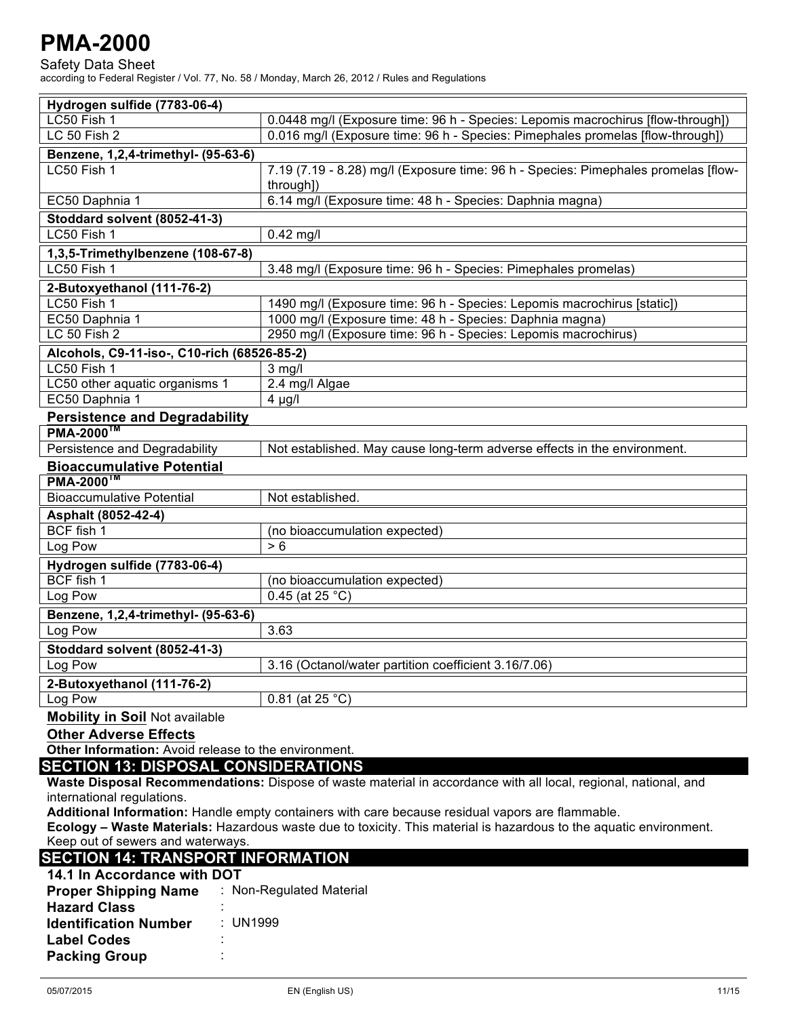Safety Data Sheet according to Federal Register / Vol. 77, No. 58 / Monday, March 26, 2012 / Rules and Regulations

| Hydrogen sulfide (7783-06-4)                         |                                                                                    |  |
|------------------------------------------------------|------------------------------------------------------------------------------------|--|
| LC50 Fish 1                                          | 0.0448 mg/l (Exposure time: 96 h - Species: Lepomis macrochirus [flow-through])    |  |
| LC 50 Fish 2                                         | 0.016 mg/l (Exposure time: 96 h - Species: Pimephales promelas [flow-through])     |  |
| Benzene, 1,2,4-trimethyl- (95-63-6)                  |                                                                                    |  |
| LC50 Fish 1                                          | 7.19 (7.19 - 8.28) mg/l (Exposure time: 96 h - Species: Pimephales promelas [flow- |  |
|                                                      | through])                                                                          |  |
| EC50 Daphnia 1                                       | 6.14 mg/l (Exposure time: 48 h - Species: Daphnia magna)                           |  |
| Stoddard solvent (8052-41-3)                         |                                                                                    |  |
| LC50 Fish 1                                          | $0.42$ mg/l                                                                        |  |
| 1,3,5-Trimethylbenzene (108-67-8)                    |                                                                                    |  |
| LC50 Fish 1                                          | 3.48 mg/l (Exposure time: 96 h - Species: Pimephales promelas)                     |  |
| 2-Butoxyethanol (111-76-2)                           |                                                                                    |  |
| LC50 Fish 1                                          | 1490 mg/l (Exposure time: 96 h - Species: Lepomis macrochirus [static])            |  |
| EC50 Daphnia 1                                       | 1000 mg/l (Exposure time: 48 h - Species: Daphnia magna)                           |  |
| LC 50 Fish 2                                         | 2950 mg/l (Exposure time: 96 h - Species: Lepomis macrochirus)                     |  |
| Alcohols, C9-11-iso-, C10-rich (68526-85-2)          |                                                                                    |  |
| LC <sub>50</sub> Fish 1                              | $3$ mg/l                                                                           |  |
| LC50 other aquatic organisms 1                       | 2.4 mg/l Algae                                                                     |  |
| EC50 Daphnia 1                                       | $4 \mu g/l$                                                                        |  |
| <b>Persistence and Degradability</b>                 |                                                                                    |  |
| <b>PMA-2000™</b>                                     |                                                                                    |  |
| Persistence and Degradability                        | Not established. May cause long-term adverse effects in the environment.           |  |
| <b>Bioaccumulative Potential</b>                     |                                                                                    |  |
| <b>PMA-2000<sup>™</sup></b>                          |                                                                                    |  |
| <b>Bioaccumulative Potential</b>                     | Not established.                                                                   |  |
| Asphalt (8052-42-4)                                  |                                                                                    |  |
| BCF fish 1                                           | (no bioaccumulation expected)                                                      |  |
| Log Pow                                              | > 6                                                                                |  |
| Hydrogen sulfide (7783-06-4)                         |                                                                                    |  |
| BCF fish 1                                           | (no bioaccumulation expected)                                                      |  |
| Log Pow                                              | $0.45$ (at 25 °C)                                                                  |  |
| Benzene, 1,2,4-trimethyl- (95-63-6)                  |                                                                                    |  |
| Log Pow                                              | 3.63                                                                               |  |
| Stoddard solvent (8052-41-3)                         |                                                                                    |  |
| Log Pow                                              | 3.16 (Octanol/water partition coefficient 3.16/7.06)                               |  |
| 2-Butoxyethanol (111-76-2)                           |                                                                                    |  |
| Log Pow                                              | 0.81 (at 25 $^{\circ}$ C)                                                          |  |
| <b>Mobility in Soil Not available</b>                |                                                                                    |  |
| <b>Other Adverse Effects</b>                         |                                                                                    |  |
| Other Information: Avoid release to the environment. |                                                                                    |  |

### **SECTION 13: DISPOSAL CONSIDERATIONS**

**Waste Disposal Recommendations:** Dispose of waste material in accordance with all local, regional, national, and international regulations.

**Additional Information:** Handle empty containers with care because residual vapors are flammable.

**Ecology – Waste Materials:** Hazardous waste due to toxicity. This material is hazardous to the aquatic environment. Keep out of sewers and waterways.

## **SECTION 14: TRANSPORT INFORMATION**

| 14.1 In Accordance with DOT  |                          |
|------------------------------|--------------------------|
| <b>Proper Shipping Name</b>  | : Non-Regulated Material |
| <b>Hazard Class</b>          |                          |
| <b>Identification Number</b> | : UN1999                 |
| <b>Label Codes</b>           | ٠<br>٠                   |
| <b>Packing Group</b>         | ٠<br>٠                   |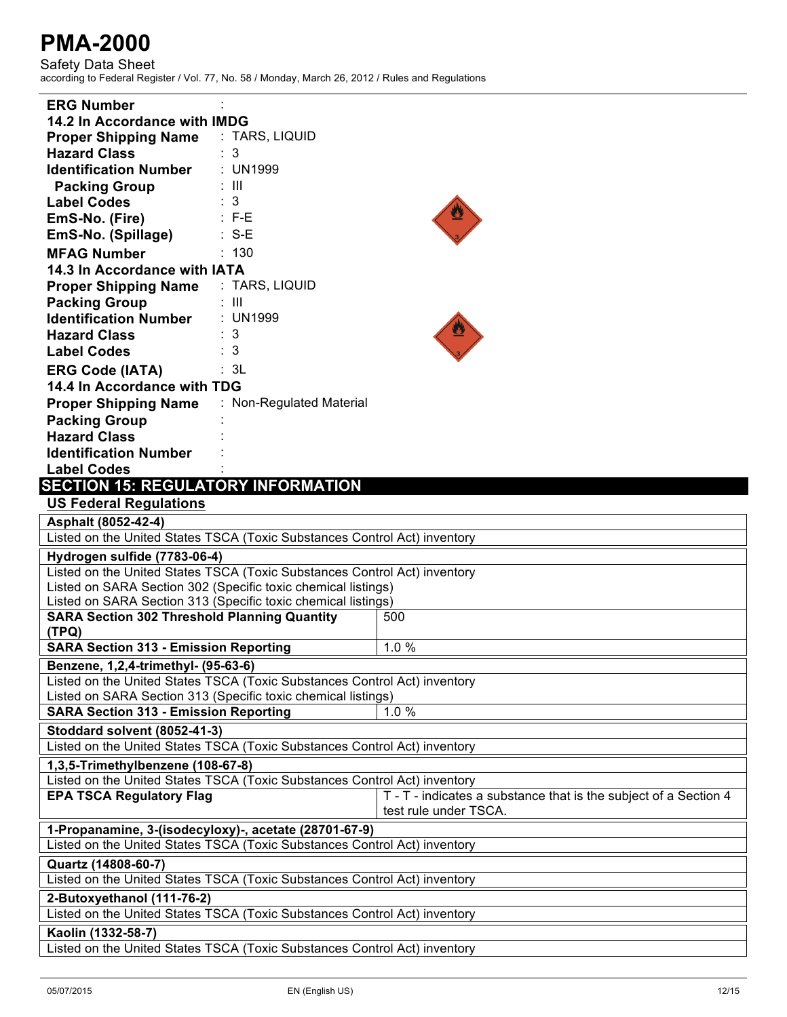| <b>ERG Number</b>                                                         |                          |                                                                  |
|---------------------------------------------------------------------------|--------------------------|------------------------------------------------------------------|
| 14.2 In Accordance with IMDG                                              |                          |                                                                  |
| <b>Proper Shipping Name</b>                                               | : TARS, LIQUID           |                                                                  |
| <b>Hazard Class</b>                                                       | : 3                      |                                                                  |
| <b>Identification Number</b>                                              | : UN1999                 |                                                                  |
| <b>Packing Group</b>                                                      | : III                    |                                                                  |
| <b>Label Codes</b>                                                        | : 3                      |                                                                  |
| EmS-No. (Fire)                                                            | $\therefore$ F-E         |                                                                  |
| EmS-No. (Spillage)                                                        | $\therefore$ S-E         |                                                                  |
| <b>MFAG Number</b>                                                        | : 130                    |                                                                  |
| 14.3 In Accordance with IATA                                              |                          |                                                                  |
| <b>Proper Shipping Name : TARS, LIQUID</b>                                |                          |                                                                  |
| <b>Packing Group</b>                                                      | : III                    |                                                                  |
| <b>Identification Number</b>                                              | : UN1999                 |                                                                  |
| <b>Hazard Class</b>                                                       | $\therefore$ 3           |                                                                  |
| <b>Label Codes</b>                                                        | $\therefore$ 3           |                                                                  |
| <b>ERG Code (IATA)</b>                                                    | : 3L                     |                                                                  |
| 14.4 In Accordance with TDG                                               |                          |                                                                  |
| <b>Proper Shipping Name</b>                                               | : Non-Regulated Material |                                                                  |
| <b>Packing Group</b>                                                      |                          |                                                                  |
| <b>Hazard Class</b>                                                       |                          |                                                                  |
| <b>Identification Number</b>                                              |                          |                                                                  |
| <b>Label Codes</b>                                                        |                          |                                                                  |
| <b>SECTION 15: REGULATORY INFORMATION</b>                                 |                          |                                                                  |
| <b>US Federal Regulations</b>                                             |                          |                                                                  |
| Asphalt (8052-42-4)                                                       |                          |                                                                  |
| Listed on the United States TSCA (Toxic Substances Control Act) inventory |                          |                                                                  |
| Hydrogen sulfide (7783-06-4)                                              |                          |                                                                  |
| Listed on the United States TSCA (Toxic Substances Control Act) inventory |                          |                                                                  |
| Listed on SARA Section 302 (Specific toxic chemical listings)             |                          |                                                                  |
| Listed on SARA Section 313 (Specific toxic chemical listings)             |                          |                                                                  |
| <b>SARA Section 302 Threshold Planning Quantity</b>                       |                          | 500                                                              |
| (TPQ)                                                                     |                          |                                                                  |
| <b>SARA Section 313 - Emission Reporting</b>                              |                          | 1.0%                                                             |
| Benzene, 1,2,4-trimethyl- (95-63-6)                                       |                          |                                                                  |
| Listed on the United States TSCA (Toxic Substances Control Act) inventory |                          |                                                                  |
| Listed on SARA Section 313 (Specific toxic chemical listings)             |                          |                                                                  |
| <b>SARA Section 313 - Emission Reporting</b>                              |                          | 1.0%                                                             |
| Stoddard solvent (8052-41-3)                                              |                          |                                                                  |
| Listed on the United States TSCA (Toxic Substances Control Act) inventory |                          |                                                                  |
| 1,3,5-Trimethylbenzene (108-67-8)                                         |                          |                                                                  |
| Listed on the United States TSCA (Toxic Substances Control Act) inventory |                          |                                                                  |
| <b>EPA TSCA Regulatory Flag</b>                                           |                          | T - T - indicates a substance that is the subject of a Section 4 |
|                                                                           |                          | test rule under TSCA.                                            |
| 1-Propanamine, 3-(isodecyloxy)-, acetate (28701-67-9)                     |                          |                                                                  |
| Listed on the United States TSCA (Toxic Substances Control Act) inventory |                          |                                                                  |
| Quartz (14808-60-7)                                                       |                          |                                                                  |
| Listed on the United States TSCA (Toxic Substances Control Act) inventory |                          |                                                                  |
| 2-Butoxyethanol (111-76-2)                                                |                          |                                                                  |
| Listed on the United States TSCA (Toxic Substances Control Act) inventory |                          |                                                                  |
| Kaolin (1332-58-7)                                                        |                          |                                                                  |
| Listed on the United States TSCA (Toxic Substances Control Act) inventory |                          |                                                                  |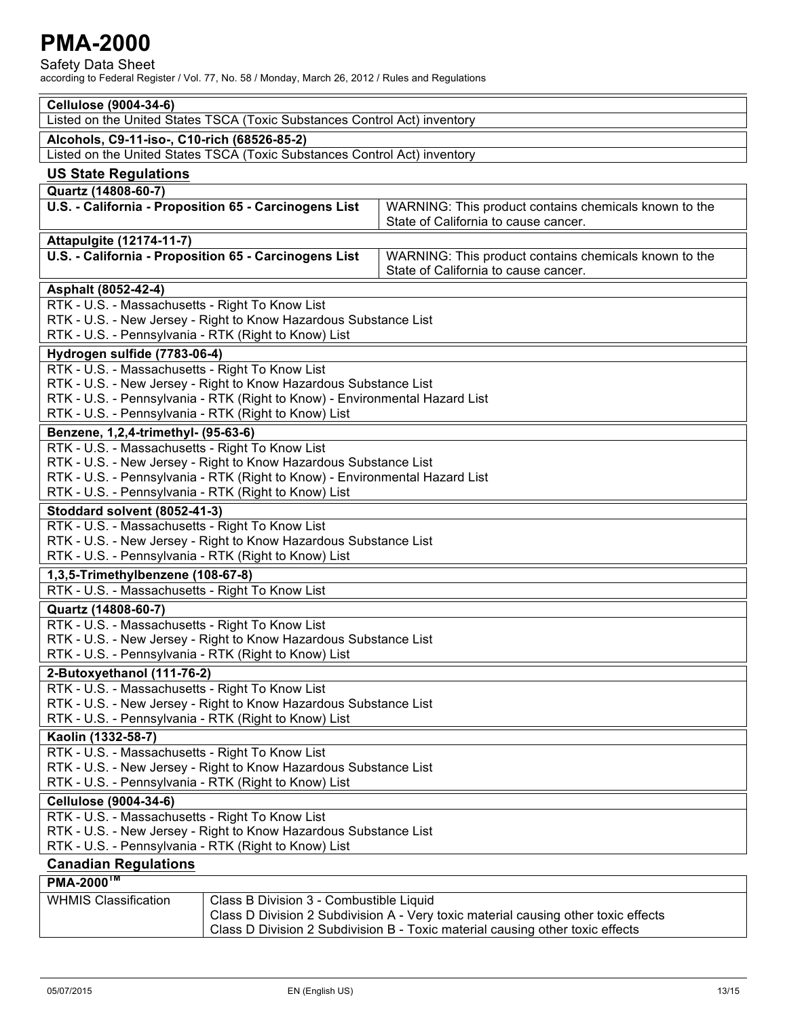Safety Data Sheet

| <b>Cellulose (9004-34-6)</b>                                                    |                                                                             |                                                                                    |
|---------------------------------------------------------------------------------|-----------------------------------------------------------------------------|------------------------------------------------------------------------------------|
| Listed on the United States TSCA (Toxic Substances Control Act) inventory       |                                                                             |                                                                                    |
| Alcohols, C9-11-iso-, C10-rich (68526-85-2)                                     |                                                                             |                                                                                    |
|                                                                                 | Listed on the United States TSCA (Toxic Substances Control Act) inventory   |                                                                                    |
| <b>US State Regulations</b>                                                     |                                                                             |                                                                                    |
| Quartz (14808-60-7)                                                             |                                                                             |                                                                                    |
|                                                                                 | U.S. - California - Proposition 65 - Carcinogens List                       | WARNING: This product contains chemicals known to the                              |
|                                                                                 |                                                                             | State of California to cause cancer.                                               |
| Attapulgite (12174-11-7)                                                        |                                                                             |                                                                                    |
|                                                                                 | U.S. - California - Proposition 65 - Carcinogens List                       | WARNING: This product contains chemicals known to the                              |
|                                                                                 |                                                                             | State of California to cause cancer.                                               |
| Asphalt (8052-42-4)                                                             |                                                                             |                                                                                    |
| RTK - U.S. - Massachusetts - Right To Know List                                 |                                                                             |                                                                                    |
|                                                                                 | RTK - U.S. - New Jersey - Right to Know Hazardous Substance List            |                                                                                    |
| RTK - U.S. - Pennsylvania - RTK (Right to Know) List                            |                                                                             |                                                                                    |
|                                                                                 |                                                                             |                                                                                    |
| Hydrogen sulfide (7783-06-4)<br>RTK - U.S. - Massachusetts - Right To Know List |                                                                             |                                                                                    |
|                                                                                 | RTK - U.S. - New Jersey - Right to Know Hazardous Substance List            |                                                                                    |
|                                                                                 | RTK - U.S. - Pennsylvania - RTK (Right to Know) - Environmental Hazard List |                                                                                    |
| RTK - U.S. - Pennsylvania - RTK (Right to Know) List                            |                                                                             |                                                                                    |
| Benzene, 1,2,4-trimethyl- (95-63-6)                                             |                                                                             |                                                                                    |
| RTK - U.S. - Massachusetts - Right To Know List                                 |                                                                             |                                                                                    |
|                                                                                 | RTK - U.S. - New Jersey - Right to Know Hazardous Substance List            |                                                                                    |
|                                                                                 | RTK - U.S. - Pennsylvania - RTK (Right to Know) - Environmental Hazard List |                                                                                    |
| RTK - U.S. - Pennsylvania - RTK (Right to Know) List                            |                                                                             |                                                                                    |
| Stoddard solvent (8052-41-3)                                                    |                                                                             |                                                                                    |
| RTK - U.S. - Massachusetts - Right To Know List                                 |                                                                             |                                                                                    |
|                                                                                 | RTK - U.S. - New Jersey - Right to Know Hazardous Substance List            |                                                                                    |
| RTK - U.S. - Pennsylvania - RTK (Right to Know) List                            |                                                                             |                                                                                    |
| 1,3,5-Trimethylbenzene (108-67-8)                                               |                                                                             |                                                                                    |
| RTK - U.S. - Massachusetts - Right To Know List                                 |                                                                             |                                                                                    |
| Quartz (14808-60-7)                                                             |                                                                             |                                                                                    |
| RTK - U.S. - Massachusetts - Right To Know List                                 |                                                                             |                                                                                    |
|                                                                                 | RTK - U.S. - New Jersey - Right to Know Hazardous Substance List            |                                                                                    |
| RTK - U.S. - Pennsylvania - RTK (Right to Know) List                            |                                                                             |                                                                                    |
| 2-Butoxyethanol (111-76-2)                                                      |                                                                             |                                                                                    |
| RTK - U.S. - Massachusetts - Right To Know List                                 |                                                                             |                                                                                    |
|                                                                                 | RTK - U.S. - New Jersey - Right to Know Hazardous Substance List            |                                                                                    |
| RTK - U.S. - Pennsylvania - RTK (Right to Know) List                            |                                                                             |                                                                                    |
| Kaolin (1332-58-7)                                                              |                                                                             |                                                                                    |
| RTK - U.S. - Massachusetts - Right To Know List                                 |                                                                             |                                                                                    |
|                                                                                 | RTK - U.S. - New Jersey - Right to Know Hazardous Substance List            |                                                                                    |
| RTK - U.S. - Pennsylvania - RTK (Right to Know) List                            |                                                                             |                                                                                    |
| <b>Cellulose (9004-34-6)</b>                                                    |                                                                             |                                                                                    |
| RTK - U.S. - Massachusetts - Right To Know List                                 |                                                                             |                                                                                    |
| RTK - U.S. - New Jersey - Right to Know Hazardous Substance List                |                                                                             |                                                                                    |
| RTK - U.S. - Pennsylvania - RTK (Right to Know) List                            |                                                                             |                                                                                    |
| <b>Canadian Regulations</b>                                                     |                                                                             |                                                                                    |
| PMA-2000 <sup>™</sup>                                                           |                                                                             |                                                                                    |
| <b>WHMIS Classification</b>                                                     | Class B Division 3 - Combustible Liquid                                     |                                                                                    |
|                                                                                 |                                                                             | Class D Division 2 Subdivision A - Very toxic material causing other toxic effects |
|                                                                                 |                                                                             | Class D Division 2 Subdivision B - Toxic material causing other toxic effects      |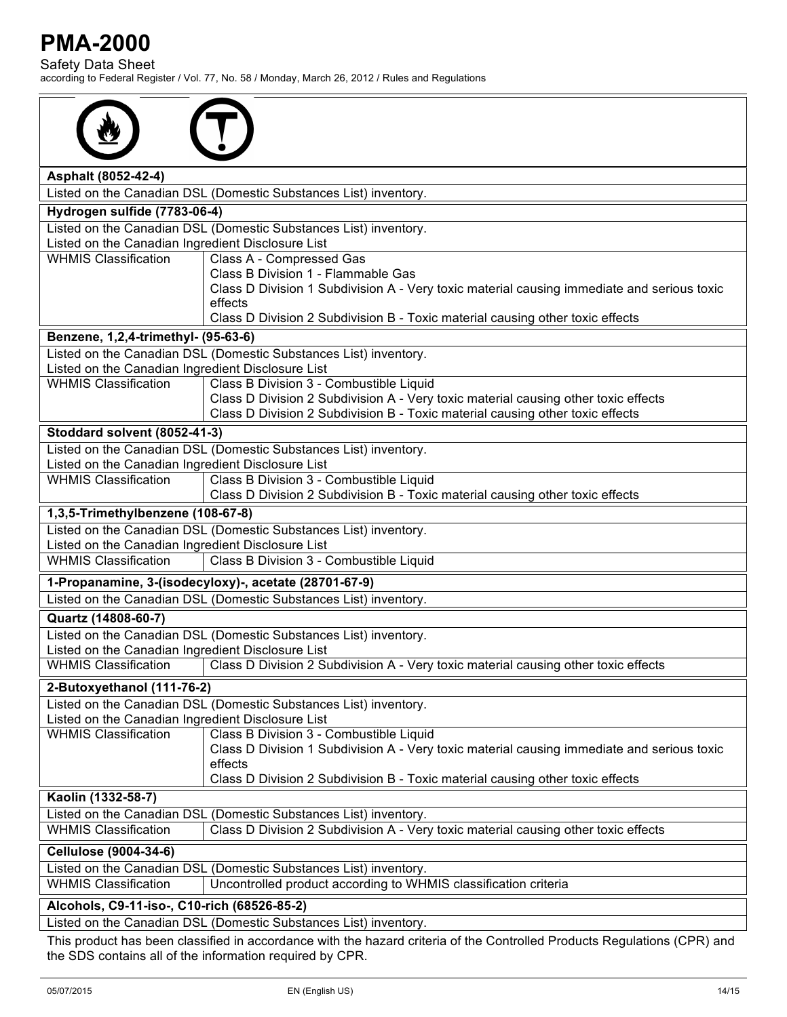Safety Data Sheet according to Federal Register / Vol. 77, No. 58 / Monday, March 26, 2012 / Rules and Regulations

| Asphalt (8052-42-4)                                                                                                      |                                                                                                                                                                                                                |  |
|--------------------------------------------------------------------------------------------------------------------------|----------------------------------------------------------------------------------------------------------------------------------------------------------------------------------------------------------------|--|
|                                                                                                                          | Listed on the Canadian DSL (Domestic Substances List) inventory.                                                                                                                                               |  |
| Hydrogen sulfide (7783-06-4)                                                                                             |                                                                                                                                                                                                                |  |
|                                                                                                                          | Listed on the Canadian DSL (Domestic Substances List) inventory.                                                                                                                                               |  |
| Listed on the Canadian Ingredient Disclosure List                                                                        |                                                                                                                                                                                                                |  |
| <b>WHMIS Classification</b>                                                                                              | Class A - Compressed Gas                                                                                                                                                                                       |  |
|                                                                                                                          | Class B Division 1 - Flammable Gas<br>Class D Division 1 Subdivision A - Very toxic material causing immediate and serious toxic<br>effects                                                                    |  |
|                                                                                                                          | Class D Division 2 Subdivision B - Toxic material causing other toxic effects                                                                                                                                  |  |
| Benzene, 1,2,4-trimethyl- (95-63-6)                                                                                      |                                                                                                                                                                                                                |  |
| Listed on the Canadian Ingredient Disclosure List                                                                        | Listed on the Canadian DSL (Domestic Substances List) inventory.                                                                                                                                               |  |
| <b>WHMIS Classification</b>                                                                                              | Class B Division 3 - Combustible Liquid<br>Class D Division 2 Subdivision A - Very toxic material causing other toxic effects<br>Class D Division 2 Subdivision B - Toxic material causing other toxic effects |  |
| Stoddard solvent (8052-41-3)                                                                                             |                                                                                                                                                                                                                |  |
| Listed on the Canadian Ingredient Disclosure List                                                                        | Listed on the Canadian DSL (Domestic Substances List) inventory.                                                                                                                                               |  |
| <b>WHMIS Classification</b>                                                                                              | Class B Division 3 - Combustible Liquid<br>Class D Division 2 Subdivision B - Toxic material causing other toxic effects                                                                                       |  |
| 1,3,5-Trimethylbenzene (108-67-8)                                                                                        |                                                                                                                                                                                                                |  |
|                                                                                                                          | Listed on the Canadian DSL (Domestic Substances List) inventory.                                                                                                                                               |  |
| Listed on the Canadian Ingredient Disclosure List                                                                        |                                                                                                                                                                                                                |  |
| <b>WHMIS Classification</b>                                                                                              | Class B Division 3 - Combustible Liquid                                                                                                                                                                        |  |
|                                                                                                                          | 1-Propanamine, 3-(isodecyloxy)-, acetate (28701-67-9)                                                                                                                                                          |  |
|                                                                                                                          | Listed on the Canadian DSL (Domestic Substances List) inventory.                                                                                                                                               |  |
| Quartz (14808-60-7)                                                                                                      |                                                                                                                                                                                                                |  |
| Listed on the Canadian Ingredient Disclosure List                                                                        | Listed on the Canadian DSL (Domestic Substances List) inventory.                                                                                                                                               |  |
| <b>WHMIS Classification</b>                                                                                              | Class D Division 2 Subdivision A - Very toxic material causing other toxic effects                                                                                                                             |  |
| 2-Butoxyethanol (111-76-2)                                                                                               |                                                                                                                                                                                                                |  |
| Listed on the Canadian DSL (Domestic Substances List) inventory.<br>Listed on the Canadian Ingredient Disclosure List    |                                                                                                                                                                                                                |  |
| <b>WHMIS Classification</b>                                                                                              | Class B Division 3 - Combustible Liquid                                                                                                                                                                        |  |
|                                                                                                                          | Class D Division 1 Subdivision A - Very toxic material causing immediate and serious toxic<br>effects                                                                                                          |  |
|                                                                                                                          | Class D Division 2 Subdivision B - Toxic material causing other toxic effects                                                                                                                                  |  |
| Kaolin (1332-58-7)                                                                                                       |                                                                                                                                                                                                                |  |
|                                                                                                                          | Listed on the Canadian DSL (Domestic Substances List) inventory.                                                                                                                                               |  |
| <b>WHMIS Classification</b>                                                                                              | Class D Division 2 Subdivision A - Very toxic material causing other toxic effects                                                                                                                             |  |
| <b>Cellulose (9004-34-6)</b>                                                                                             |                                                                                                                                                                                                                |  |
|                                                                                                                          | Listed on the Canadian DSL (Domestic Substances List) inventory.                                                                                                                                               |  |
| <b>WHMIS Classification</b>                                                                                              | Uncontrolled product according to WHMIS classification criteria                                                                                                                                                |  |
| Alcohols, C9-11-iso-, C10-rich (68526-85-2)                                                                              |                                                                                                                                                                                                                |  |
| Listed on the Canadian DSL (Domestic Substances List) inventory.                                                         |                                                                                                                                                                                                                |  |
| This product has been classified in accordance with the hazard criteria of the Controlled Products Regulations (CPR) and |                                                                                                                                                                                                                |  |

the SDS contains all of the information required by CPR.